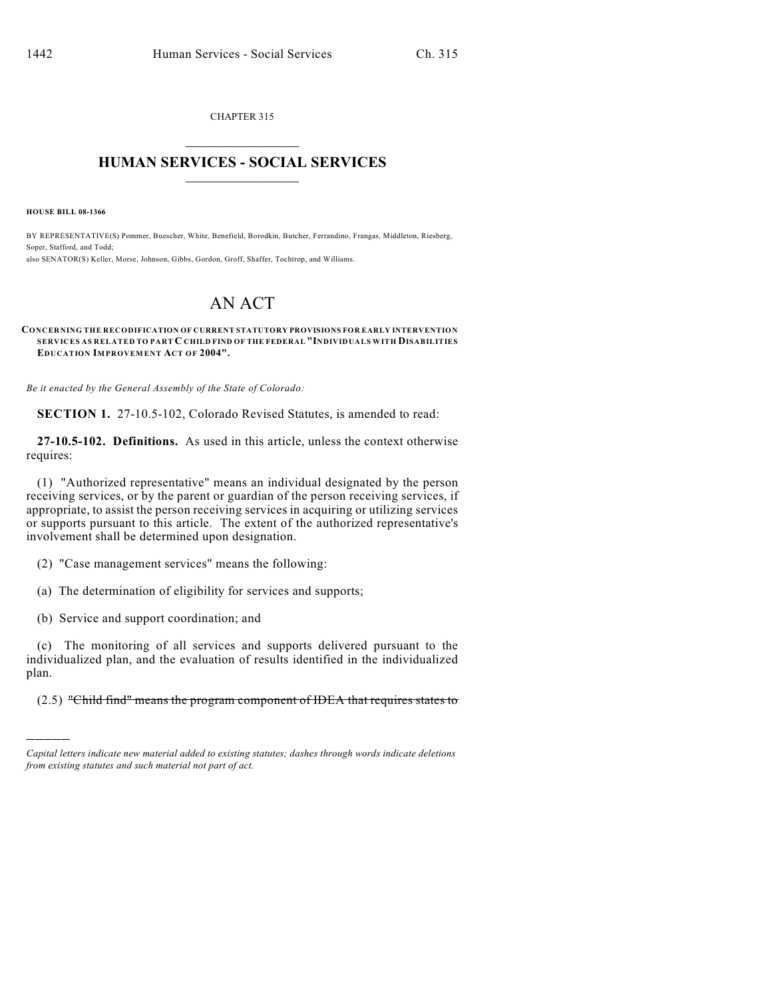CHAPTER 315  $\mathcal{L}_\text{max}$  . The set of the set of the set of the set of the set of the set of the set of the set of the set of the set of the set of the set of the set of the set of the set of the set of the set of the set of the set

## **HUMAN SERVICES - SOCIAL SERVICES**  $\frac{1}{2}$  ,  $\frac{1}{2}$  ,  $\frac{1}{2}$  ,  $\frac{1}{2}$  ,  $\frac{1}{2}$  ,  $\frac{1}{2}$  ,  $\frac{1}{2}$

**HOUSE BILL 08-1366**

)))))

BY REPRESENTATIVE(S) Pommer, Buescher, White, Benefield, Borodkin, Butcher, Ferrandino, Frangas, Middleton, Riesberg, Soper, Stafford, and Todd; also SENATOR(S) Keller, Morse, Johnson, Gibbs, Gordon, Groff, Shaffer, Tochtrop, and Williams.

# AN ACT

#### **CONCERNING THE RECODIFICATION OF CURRENT STATUTORY PROVISIONS FOR EARLY INTERVENTION SERVICES AS RELATED TO PART C CHILD FIND OF THE FEDERAL "INDIVIDUALS WITH DISABILITIES EDUCATION IMPROVEMENT ACT OF 2004".**

*Be it enacted by the General Assembly of the State of Colorado:*

**SECTION 1.** 27-10.5-102, Colorado Revised Statutes, is amended to read:

**27-10.5-102. Definitions.** As used in this article, unless the context otherwise requires:

(1) "Authorized representative" means an individual designated by the person receiving services, or by the parent or guardian of the person receiving services, if appropriate, to assist the person receiving services in acquiring or utilizing services or supports pursuant to this article. The extent of the authorized representative's involvement shall be determined upon designation.

(2) "Case management services" means the following:

(a) The determination of eligibility for services and supports;

(b) Service and support coordination; and

(c) The monitoring of all services and supports delivered pursuant to the individualized plan, and the evaluation of results identified in the individualized plan.

(2.5) "Child find" means the program component of IDEA that requires states to

*Capital letters indicate new material added to existing statutes; dashes through words indicate deletions from existing statutes and such material not part of act.*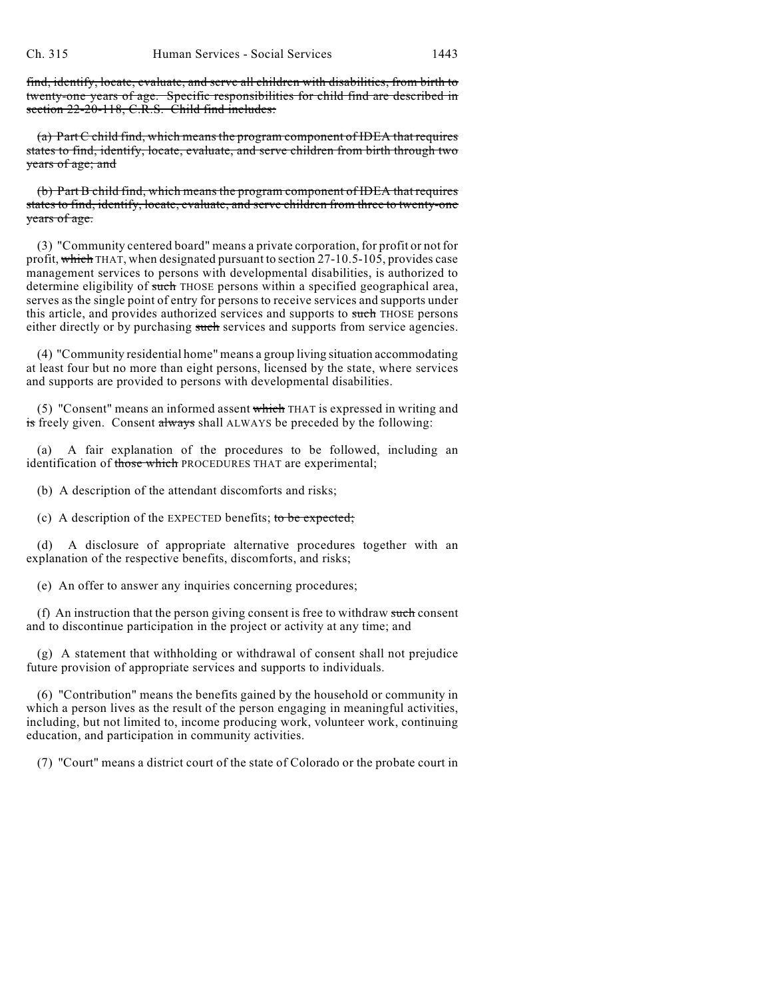find, identify, locate, evaluate, and serve all children with disabilities, from birth to twenty-one years of age. Specific responsibilities for child find are described in section 22-20-118, C.R.S. Child find includes:

(a) Part C child find, which means the program component of IDEA that requires states to find, identify, locate, evaluate, and serve children from birth through two years of age; and

(b) Part B child find, which means the program component of IDEA that requires states to find, identify, locate, evaluate, and serve children from three to twenty-one years of age.

(3) "Community centered board" means a private corporation, for profit or not for profit, which THAT, when designated pursuant to section  $27-10.5-105$ , provides case management services to persons with developmental disabilities, is authorized to determine eligibility of such THOSE persons within a specified geographical area, serves asthe single point of entry for persons to receive services and supports under this article, and provides authorized services and supports to such THOSE persons either directly or by purchasing such services and supports from service agencies.

(4) "Community residential home" means a group living situation accommodating at least four but no more than eight persons, licensed by the state, where services and supports are provided to persons with developmental disabilities.

(5) "Consent" means an informed assent which THAT is expressed in writing and is freely given. Consent always shall ALWAYS be preceded by the following:

(a) A fair explanation of the procedures to be followed, including an identification of those which PROCEDURES THAT are experimental;

(b) A description of the attendant discomforts and risks;

(c) A description of the EXPECTED benefits; to be expected;

(d) A disclosure of appropriate alternative procedures together with an explanation of the respective benefits, discomforts, and risks;

(e) An offer to answer any inquiries concerning procedures;

(f) An instruction that the person giving consent is free to withdraw such consent and to discontinue participation in the project or activity at any time; and

(g) A statement that withholding or withdrawal of consent shall not prejudice future provision of appropriate services and supports to individuals.

(6) "Contribution" means the benefits gained by the household or community in which a person lives as the result of the person engaging in meaningful activities, including, but not limited to, income producing work, volunteer work, continuing education, and participation in community activities.

(7) "Court" means a district court of the state of Colorado or the probate court in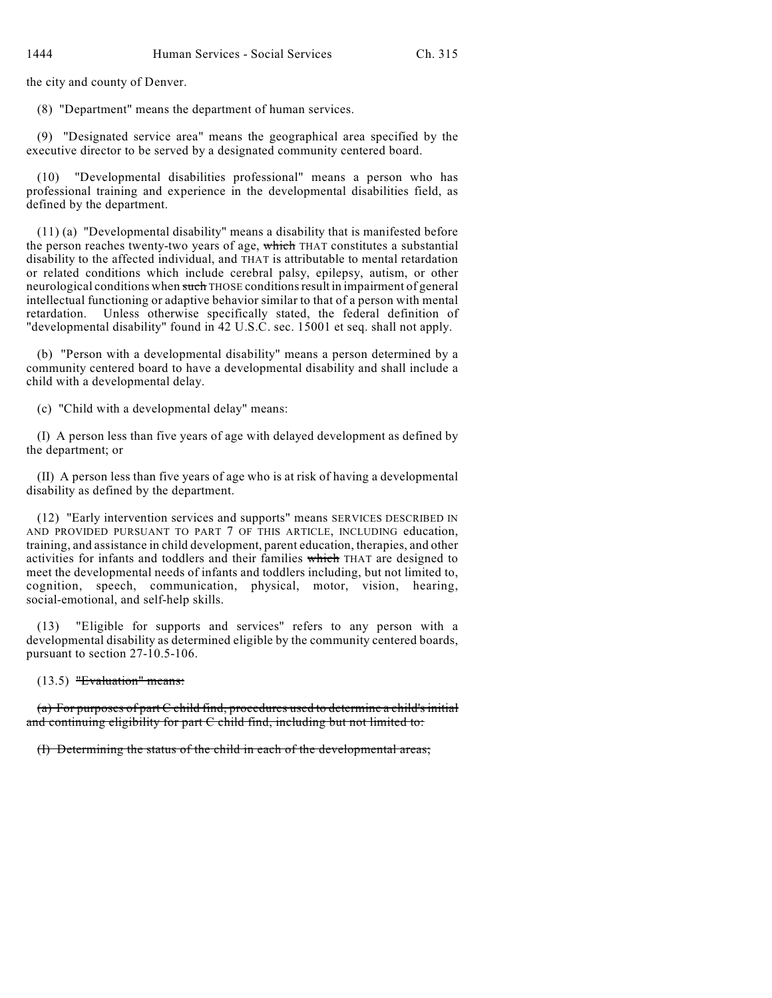the city and county of Denver.

(8) "Department" means the department of human services.

(9) "Designated service area" means the geographical area specified by the executive director to be served by a designated community centered board.

(10) "Developmental disabilities professional" means a person who has professional training and experience in the developmental disabilities field, as defined by the department.

(11) (a) "Developmental disability" means a disability that is manifested before the person reaches twenty-two years of age, which THAT constitutes a substantial disability to the affected individual, and THAT is attributable to mental retardation or related conditions which include cerebral palsy, epilepsy, autism, or other neurological conditions when such THOSE conditions result in impairment of general intellectual functioning or adaptive behavior similar to that of a person with mental retardation. Unless otherwise specifically stated, the federal definition of "developmental disability" found in 42 U.S.C. sec. 15001 et seq. shall not apply.

(b) "Person with a developmental disability" means a person determined by a community centered board to have a developmental disability and shall include a child with a developmental delay.

(c) "Child with a developmental delay" means:

(I) A person less than five years of age with delayed development as defined by the department; or

(II) A person less than five years of age who is at risk of having a developmental disability as defined by the department.

(12) "Early intervention services and supports" means SERVICES DESCRIBED IN AND PROVIDED PURSUANT TO PART 7 OF THIS ARTICLE, INCLUDING education, training, and assistance in child development, parent education, therapies, and other activities for infants and toddlers and their families which THAT are designed to meet the developmental needs of infants and toddlers including, but not limited to, cognition, speech, communication, physical, motor, vision, hearing, social-emotional, and self-help skills.

(13) "Eligible for supports and services" refers to any person with a developmental disability as determined eligible by the community centered boards, pursuant to section 27-10.5-106.

(13.5) "Evaluation" means:

(a) For purposes of part C child find, procedures used to determine a child's initial and continuing eligibility for part C child find, including but not limited to:

(I) Determining the status of the child in each of the developmental areas;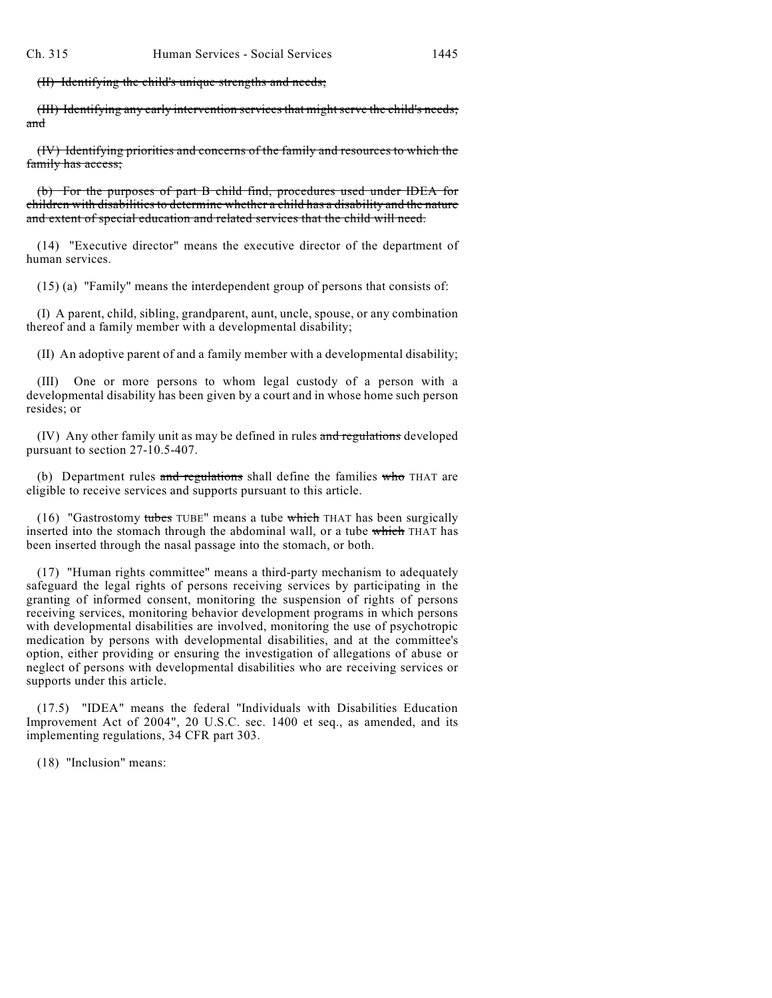(II) Identifying the child's unique strengths and needs;

(III) Identifying any early intervention services that might serve the child's needs; and

(IV) Identifying priorities and concerns of the family and resources to which the family has access;

(b) For the purposes of part B child find, procedures used under IDEA for children with disabilities to determine whether a child has a disability and the nature and extent of special education and related services that the child will need.

(14) "Executive director" means the executive director of the department of human services.

(15) (a) "Family" means the interdependent group of persons that consists of:

(I) A parent, child, sibling, grandparent, aunt, uncle, spouse, or any combination thereof and a family member with a developmental disability;

(II) An adoptive parent of and a family member with a developmental disability;

(III) One or more persons to whom legal custody of a person with a developmental disability has been given by a court and in whose home such person resides; or

(IV) Any other family unit as may be defined in rules and regulations developed pursuant to section 27-10.5-407.

(b) Department rules and regulations shall define the families  $w$  tho THAT are eligible to receive services and supports pursuant to this article.

(16) "Gastrostomy tubes TUBE" means a tube which THAT has been surgically inserted into the stomach through the abdominal wall, or a tube which THAT has been inserted through the nasal passage into the stomach, or both.

(17) "Human rights committee" means a third-party mechanism to adequately safeguard the legal rights of persons receiving services by participating in the granting of informed consent, monitoring the suspension of rights of persons receiving services, monitoring behavior development programs in which persons with developmental disabilities are involved, monitoring the use of psychotropic medication by persons with developmental disabilities, and at the committee's option, either providing or ensuring the investigation of allegations of abuse or neglect of persons with developmental disabilities who are receiving services or supports under this article.

(17.5) "IDEA" means the federal "Individuals with Disabilities Education Improvement Act of 2004", 20 U.S.C. sec. 1400 et seq., as amended, and its implementing regulations, 34 CFR part 303.

(18) "Inclusion" means: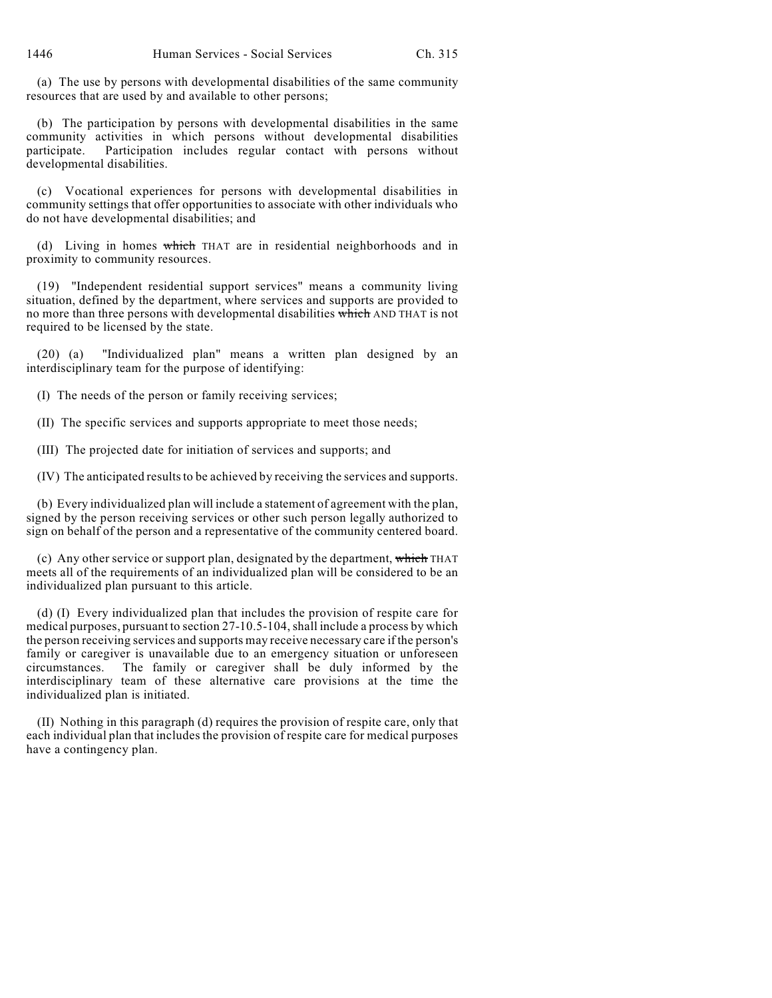(a) The use by persons with developmental disabilities of the same community resources that are used by and available to other persons;

(b) The participation by persons with developmental disabilities in the same community activities in which persons without developmental disabilities participate. Participation includes regular contact with persons without developmental disabilities.

(c) Vocational experiences for persons with developmental disabilities in community settings that offer opportunities to associate with other individuals who do not have developmental disabilities; and

(d) Living in homes which THAT are in residential neighborhoods and in proximity to community resources.

(19) "Independent residential support services" means a community living situation, defined by the department, where services and supports are provided to no more than three persons with developmental disabilities which AND THAT is not required to be licensed by the state.

(20) (a) "Individualized plan" means a written plan designed by an interdisciplinary team for the purpose of identifying:

(I) The needs of the person or family receiving services;

(II) The specific services and supports appropriate to meet those needs;

(III) The projected date for initiation of services and supports; and

(IV) The anticipated results to be achieved by receiving the services and supports.

(b) Every individualized plan will include a statement of agreement with the plan, signed by the person receiving services or other such person legally authorized to sign on behalf of the person and a representative of the community centered board.

(c) Any other service or support plan, designated by the department, which THAT meets all of the requirements of an individualized plan will be considered to be an individualized plan pursuant to this article.

(d) (I) Every individualized plan that includes the provision of respite care for medical purposes, pursuant to section 27-10.5-104, shall include a process by which the person receiving services and supports may receive necessary care if the person's family or caregiver is unavailable due to an emergency situation or unforeseen circumstances. The family or caregiver shall be duly informed by the interdisciplinary team of these alternative care provisions at the time the individualized plan is initiated.

(II) Nothing in this paragraph (d) requires the provision of respite care, only that each individual plan that includes the provision of respite care for medical purposes have a contingency plan.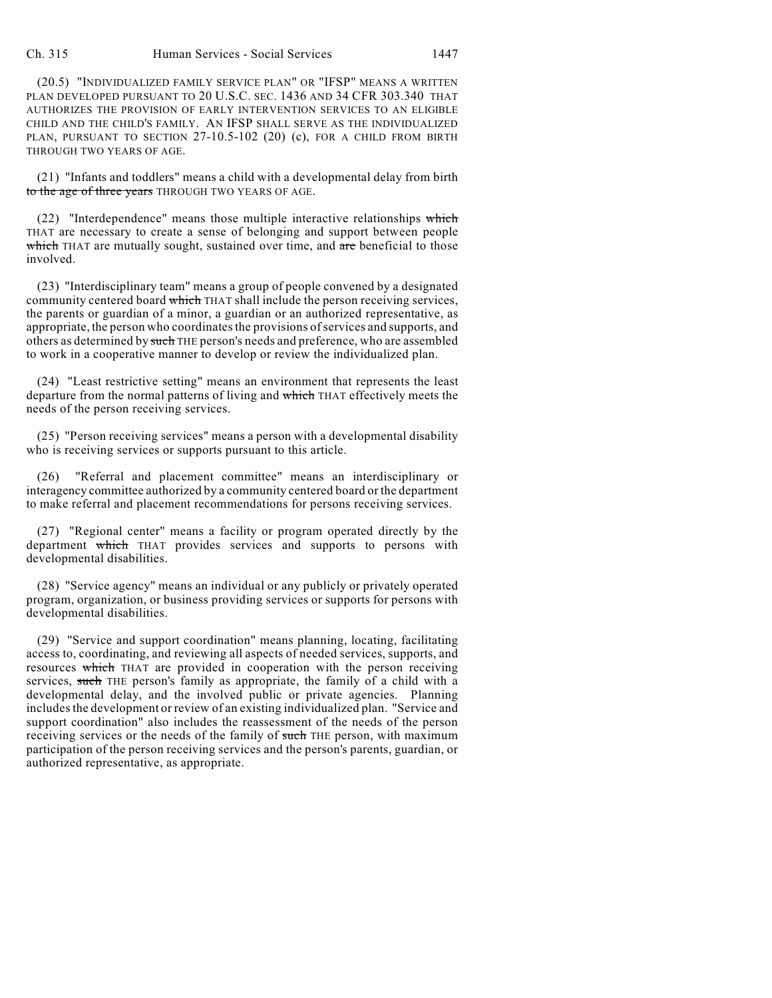(20.5) "INDIVIDUALIZED FAMILY SERVICE PLAN" OR "IFSP" MEANS A WRITTEN PLAN DEVELOPED PURSUANT TO 20 U.S.C. SEC. 1436 AND 34 CFR 303.340 THAT AUTHORIZES THE PROVISION OF EARLY INTERVENTION SERVICES TO AN ELIGIBLE CHILD AND THE CHILD'S FAMILY. AN IFSP SHALL SERVE AS THE INDIVIDUALIZED PLAN, PURSUANT TO SECTION 27-10.5-102 (20) (c), FOR A CHILD FROM BIRTH THROUGH TWO YEARS OF AGE.

(21) "Infants and toddlers" means a child with a developmental delay from birth to the age of three years THROUGH TWO YEARS OF AGE.

(22) "Interdependence" means those multiple interactive relationships which THAT are necessary to create a sense of belonging and support between people which THAT are mutually sought, sustained over time, and are beneficial to those involved.

(23) "Interdisciplinary team" means a group of people convened by a designated community centered board which THAT shall include the person receiving services, the parents or guardian of a minor, a guardian or an authorized representative, as appropriate, the person who coordinates the provisions of services and supports, and others as determined by such THE person's needs and preference, who are assembled to work in a cooperative manner to develop or review the individualized plan.

(24) "Least restrictive setting" means an environment that represents the least departure from the normal patterns of living and which THAT effectively meets the needs of the person receiving services.

(25) "Person receiving services" means a person with a developmental disability who is receiving services or supports pursuant to this article.

(26) "Referral and placement committee" means an interdisciplinary or interagency committee authorized by a community centered board or the department to make referral and placement recommendations for persons receiving services.

(27) "Regional center" means a facility or program operated directly by the department which THAT provides services and supports to persons with developmental disabilities.

(28) "Service agency" means an individual or any publicly or privately operated program, organization, or business providing services or supports for persons with developmental disabilities.

(29) "Service and support coordination" means planning, locating, facilitating access to, coordinating, and reviewing all aspects of needed services, supports, and resources which THAT are provided in cooperation with the person receiving services, such THE person's family as appropriate, the family of a child with a developmental delay, and the involved public or private agencies. Planning includes the development or review of an existing individualized plan. "Service and support coordination" also includes the reassessment of the needs of the person receiving services or the needs of the family of such THE person, with maximum participation of the person receiving services and the person's parents, guardian, or authorized representative, as appropriate.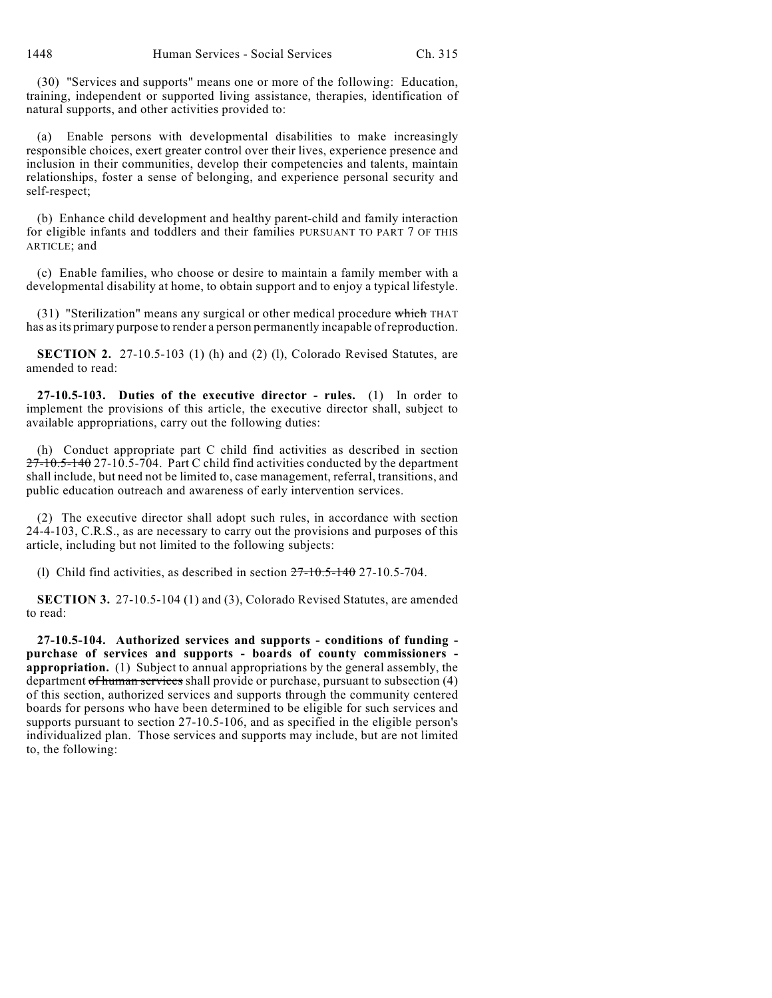(30) "Services and supports" means one or more of the following: Education, training, independent or supported living assistance, therapies, identification of natural supports, and other activities provided to:

(a) Enable persons with developmental disabilities to make increasingly responsible choices, exert greater control over their lives, experience presence and inclusion in their communities, develop their competencies and talents, maintain relationships, foster a sense of belonging, and experience personal security and self-respect;

(b) Enhance child development and healthy parent-child and family interaction for eligible infants and toddlers and their families PURSUANT TO PART 7 OF THIS ARTICLE; and

(c) Enable families, who choose or desire to maintain a family member with a developmental disability at home, to obtain support and to enjoy a typical lifestyle.

(31) "Sterilization" means any surgical or other medical procedure which THAT has as its primary purpose to render a person permanently incapable of reproduction.

**SECTION 2.** 27-10.5-103 (1) (h) and (2) (l), Colorado Revised Statutes, are amended to read:

**27-10.5-103. Duties of the executive director - rules.** (1) In order to implement the provisions of this article, the executive director shall, subject to available appropriations, carry out the following duties:

(h) Conduct appropriate part C child find activities as described in section 27-10.5-140 27-10.5-704. Part C child find activities conducted by the department shall include, but need not be limited to, case management, referral, transitions, and public education outreach and awareness of early intervention services.

(2) The executive director shall adopt such rules, in accordance with section 24-4-103, C.R.S., as are necessary to carry out the provisions and purposes of this article, including but not limited to the following subjects:

(l) Child find activities, as described in section  $27-10.5-140$  27-10.5-704.

**SECTION 3.** 27-10.5-104 (1) and (3), Colorado Revised Statutes, are amended to read:

**27-10.5-104. Authorized services and supports - conditions of funding purchase of services and supports - boards of county commissioners appropriation.** (1) Subject to annual appropriations by the general assembly, the department of human services shall provide or purchase, pursuant to subsection (4) of this section, authorized services and supports through the community centered boards for persons who have been determined to be eligible for such services and supports pursuant to section 27-10.5-106, and as specified in the eligible person's individualized plan. Those services and supports may include, but are not limited to, the following: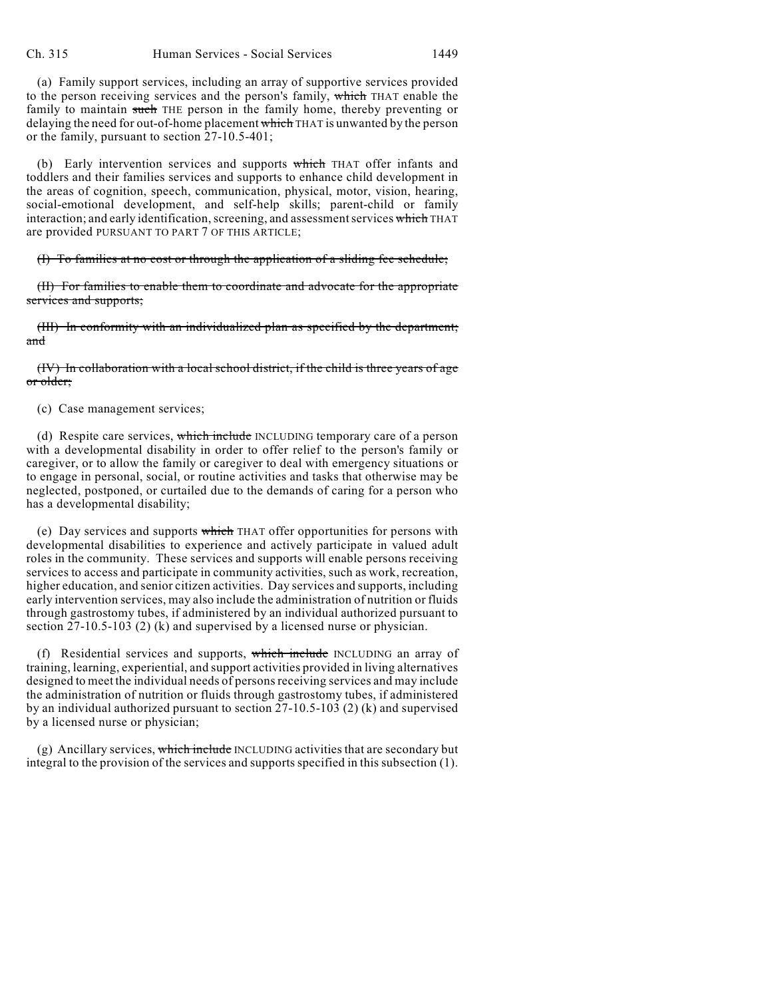(a) Family support services, including an array of supportive services provided to the person receiving services and the person's family, which THAT enable the family to maintain such THE person in the family home, thereby preventing or delaying the need for out-of-home placement which THAT is unwanted by the person or the family, pursuant to section 27-10.5-401;

(b) Early intervention services and supports which THAT offer infants and toddlers and their families services and supports to enhance child development in the areas of cognition, speech, communication, physical, motor, vision, hearing, social-emotional development, and self-help skills; parent-child or family interaction; and early identification, screening, and assessment services which THAT are provided PURSUANT TO PART 7 OF THIS ARTICLE;

(I) To families at no cost or through the application of a sliding fee schedule;

(II) For families to enable them to coordinate and advocate for the appropriate services and supports;

(III) In conformity with an individualized plan as specified by the department; and

(IV) In collaboration with a local school district, if the child is three years of age or older;

(c) Case management services;

(d) Respite care services, which include INCLUDING temporary care of a person with a developmental disability in order to offer relief to the person's family or caregiver, or to allow the family or caregiver to deal with emergency situations or to engage in personal, social, or routine activities and tasks that otherwise may be neglected, postponed, or curtailed due to the demands of caring for a person who has a developmental disability;

(e) Day services and supports which THAT offer opportunities for persons with developmental disabilities to experience and actively participate in valued adult roles in the community. These services and supports will enable persons receiving services to access and participate in community activities, such as work, recreation, higher education, and senior citizen activities. Day services and supports, including early intervention services, may also include the administration of nutrition or fluids through gastrostomy tubes, if administered by an individual authorized pursuant to section 27-10.5-103 (2) (k) and supervised by a licensed nurse or physician.

(f) Residential services and supports, which include INCLUDING an array of training, learning, experiential, and support activities provided in living alternatives designed to meet the individual needs of persons receiving services and may include the administration of nutrition or fluids through gastrostomy tubes, if administered by an individual authorized pursuant to section 27-10.5-103 (2) (k) and supervised by a licensed nurse or physician;

(g) Ancillary services, which include INCLUDING activities that are secondary but integral to the provision of the services and supports specified in this subsection (1).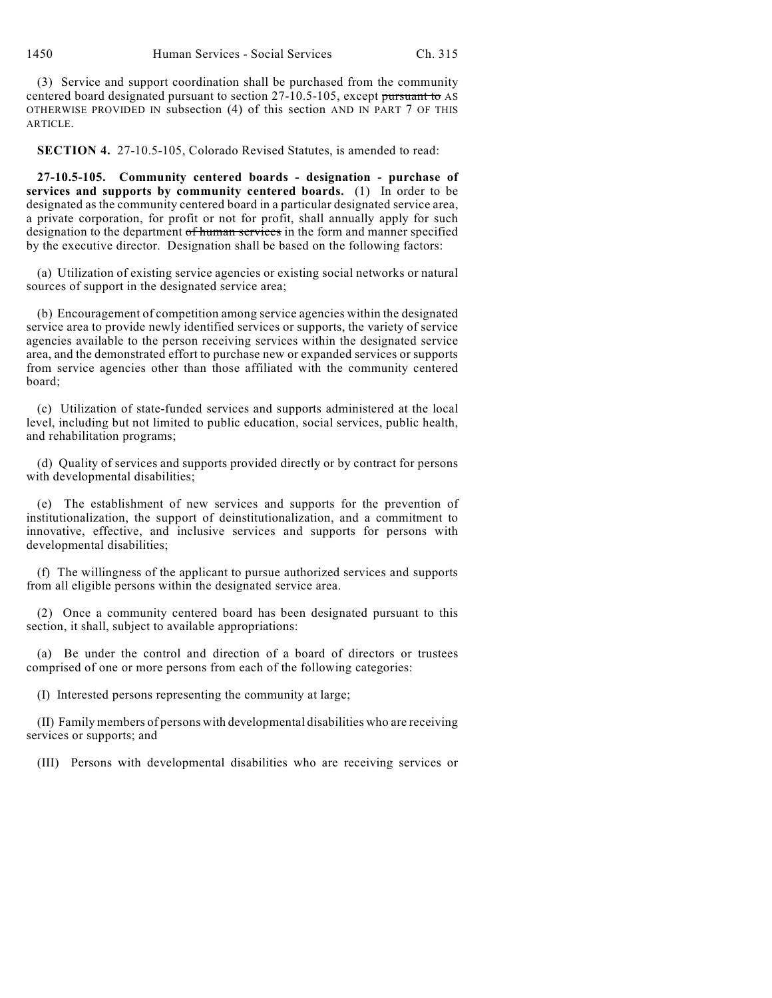(3) Service and support coordination shall be purchased from the community centered board designated pursuant to section 27-10.5-105, except pursuant to AS OTHERWISE PROVIDED IN subsection (4) of this section AND IN PART 7 OF THIS ARTICLE.

**SECTION 4.** 27-10.5-105, Colorado Revised Statutes, is amended to read:

**27-10.5-105. Community centered boards - designation - purchase of services and supports by community centered boards.** (1) In order to be designated as the community centered board in a particular designated service area, a private corporation, for profit or not for profit, shall annually apply for such designation to the department of human services in the form and manner specified by the executive director. Designation shall be based on the following factors:

(a) Utilization of existing service agencies or existing social networks or natural sources of support in the designated service area;

(b) Encouragement of competition among service agencies within the designated service area to provide newly identified services or supports, the variety of service agencies available to the person receiving services within the designated service area, and the demonstrated effort to purchase new or expanded services or supports from service agencies other than those affiliated with the community centered board;

(c) Utilization of state-funded services and supports administered at the local level, including but not limited to public education, social services, public health, and rehabilitation programs;

(d) Quality of services and supports provided directly or by contract for persons with developmental disabilities;

(e) The establishment of new services and supports for the prevention of institutionalization, the support of deinstitutionalization, and a commitment to innovative, effective, and inclusive services and supports for persons with developmental disabilities;

(f) The willingness of the applicant to pursue authorized services and supports from all eligible persons within the designated service area.

(2) Once a community centered board has been designated pursuant to this section, it shall, subject to available appropriations:

(a) Be under the control and direction of a board of directors or trustees comprised of one or more persons from each of the following categories:

(I) Interested persons representing the community at large;

(II) Family members of persons with developmental disabilities who are receiving services or supports; and

(III) Persons with developmental disabilities who are receiving services or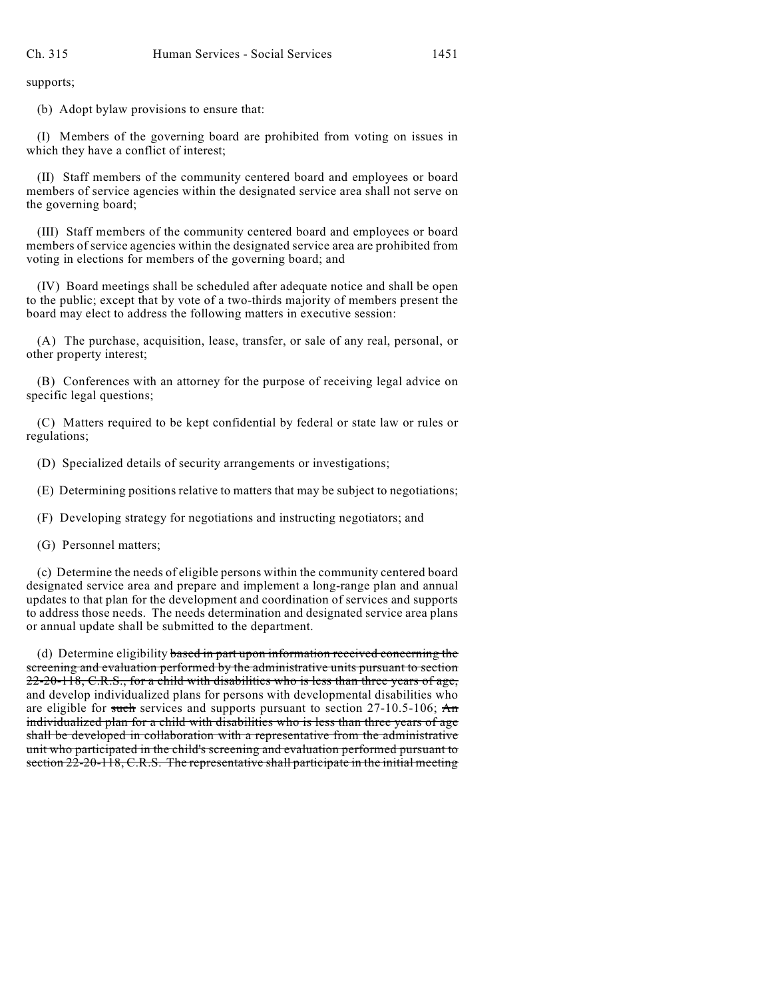supports;

(b) Adopt bylaw provisions to ensure that:

(I) Members of the governing board are prohibited from voting on issues in which they have a conflict of interest;

(II) Staff members of the community centered board and employees or board members of service agencies within the designated service area shall not serve on the governing board;

(III) Staff members of the community centered board and employees or board members of service agencies within the designated service area are prohibited from voting in elections for members of the governing board; and

(IV) Board meetings shall be scheduled after adequate notice and shall be open to the public; except that by vote of a two-thirds majority of members present the board may elect to address the following matters in executive session:

(A) The purchase, acquisition, lease, transfer, or sale of any real, personal, or other property interest;

(B) Conferences with an attorney for the purpose of receiving legal advice on specific legal questions;

(C) Matters required to be kept confidential by federal or state law or rules or regulations;

(D) Specialized details of security arrangements or investigations;

(E) Determining positions relative to matters that may be subject to negotiations;

(F) Developing strategy for negotiations and instructing negotiators; and

(G) Personnel matters;

(c) Determine the needs of eligible persons within the community centered board designated service area and prepare and implement a long-range plan and annual updates to that plan for the development and coordination of services and supports to address those needs. The needs determination and designated service area plans or annual update shall be submitted to the department.

(d) Determine eligibility based in part upon information received concerning the screening and evaluation performed by the administrative units pursuant to section  $22-20-118$ , C.R.S., for a child with disabilities who is less than three years of age, and develop individualized plans for persons with developmental disabilities who are eligible for such services and supports pursuant to section  $27-10.5-106$ ; An individualized plan for a child with disabilities who is less than three years of age shall be developed in collaboration with a representative from the administrative unit who participated in the child's screening and evaluation performed pursuant to section 22-20-118, C.R.S. The representative shall participate in the initial meeting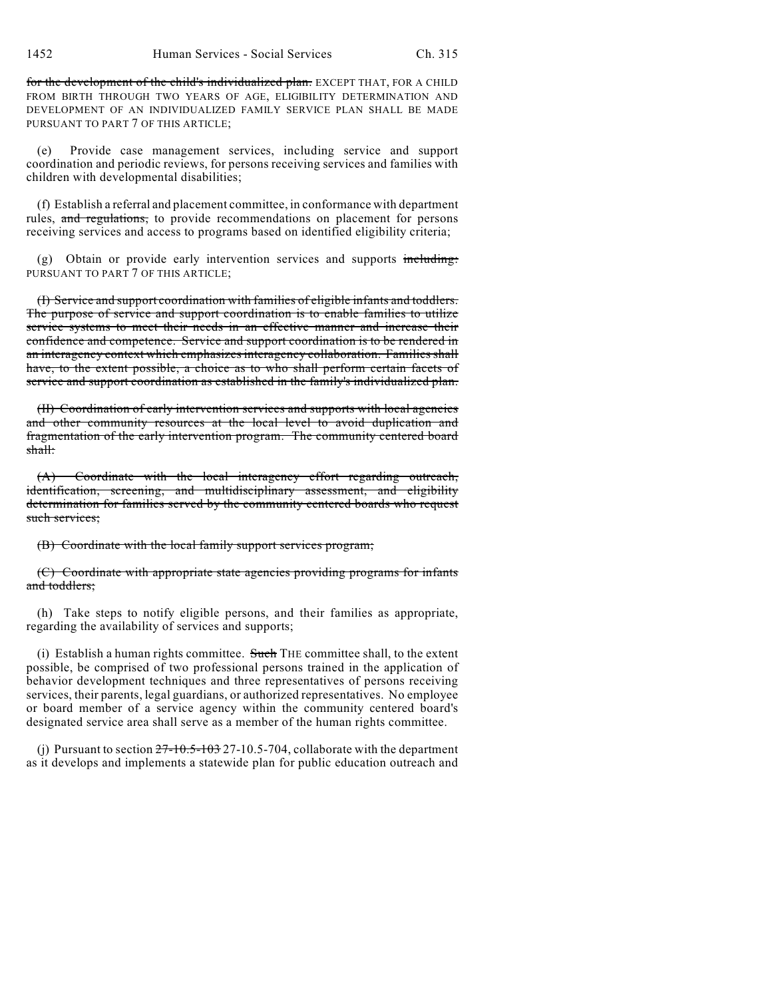1452 Human Services - Social Services Ch. 315

for the development of the child's individualized plan. EXCEPT THAT, FOR A CHILD FROM BIRTH THROUGH TWO YEARS OF AGE, ELIGIBILITY DETERMINATION AND DEVELOPMENT OF AN INDIVIDUALIZED FAMILY SERVICE PLAN SHALL BE MADE PURSUANT TO PART 7 OF THIS ARTICLE;

(e) Provide case management services, including service and support coordination and periodic reviews, for persons receiving services and families with children with developmental disabilities;

(f) Establish a referral and placement committee, in conformance with department rules, and regulations, to provide recommendations on placement for persons receiving services and access to programs based on identified eligibility criteria;

 $(g)$  Obtain or provide early intervention services and supports including: PURSUANT TO PART 7 OF THIS ARTICLE;

(I) Service and support coordination with families of eligible infants and toddlers. The purpose of service and support coordination is to enable families to utilize service systems to meet their needs in an effective manner and increase their confidence and competence. Service and support coordination is to be rendered in an interagency context which emphasizes interagency collaboration. Families shall have, to the extent possible, a choice as to who shall perform certain facets of service and support coordination as established in the family's individualized plan.

(II) Coordination of early intervention services and supports with local agencies and other community resources at the local level to avoid duplication and fragmentation of the early intervention program. The community centered board shall:

(A) Coordinate with the local interagency effort regarding outreach, identification, screening, and multidisciplinary assessment, and eligibility determination for families served by the community centered boards who request such services;

(B) Coordinate with the local family support services program;

(C) Coordinate with appropriate state agencies providing programs for infants and toddlers:

(h) Take steps to notify eligible persons, and their families as appropriate, regarding the availability of services and supports;

(i) Establish a human rights committee. Such THE committee shall, to the extent possible, be comprised of two professional persons trained in the application of behavior development techniques and three representatives of persons receiving services, their parents, legal guardians, or authorized representatives. No employee or board member of a service agency within the community centered board's designated service area shall serve as a member of the human rights committee.

(j) Pursuant to section  $27-10.5-103$  27-10.5-704, collaborate with the department as it develops and implements a statewide plan for public education outreach and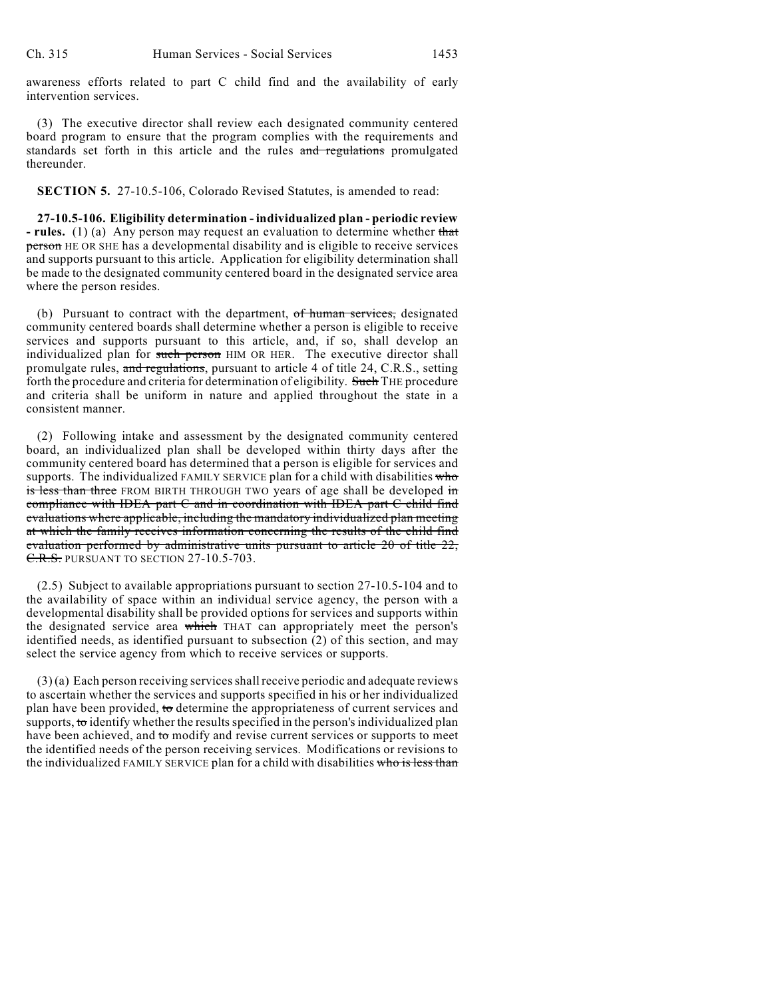awareness efforts related to part C child find and the availability of early intervention services.

(3) The executive director shall review each designated community centered board program to ensure that the program complies with the requirements and standards set forth in this article and the rules and regulations promulgated thereunder.

**SECTION 5.** 27-10.5-106, Colorado Revised Statutes, is amended to read:

**27-10.5-106. Eligibility determination - individualized plan - periodic review - rules.** (1) (a) Any person may request an evaluation to determine whether that person HE OR SHE has a developmental disability and is eligible to receive services and supports pursuant to this article. Application for eligibility determination shall be made to the designated community centered board in the designated service area where the person resides.

(b) Pursuant to contract with the department, of human services, designated community centered boards shall determine whether a person is eligible to receive services and supports pursuant to this article, and, if so, shall develop an individualized plan for such person HIM OR HER. The executive director shall promulgate rules, and regulations, pursuant to article 4 of title 24, C.R.S., setting forth the procedure and criteria for determination of eligibility. Such THE procedure and criteria shall be uniform in nature and applied throughout the state in a consistent manner.

(2) Following intake and assessment by the designated community centered board, an individualized plan shall be developed within thirty days after the community centered board has determined that a person is eligible for services and supports. The individualized FAMILY SERVICE plan for a child with disabilities who is less than three FROM BIRTH THROUGH TWO years of age shall be developed in compliance with IDEA part C and in coordination with IDEA part C child find evaluations where applicable, including the mandatory individualized plan meeting at which the family receives information concerning the results of the child find evaluation performed by administrative units pursuant to article 20 of title 22, C.R.S. PURSUANT TO SECTION 27-10.5-703.

(2.5) Subject to available appropriations pursuant to section 27-10.5-104 and to the availability of space within an individual service agency, the person with a developmental disability shall be provided options for services and supports within the designated service area which THAT can appropriately meet the person's identified needs, as identified pursuant to subsection (2) of this section, and may select the service agency from which to receive services or supports.

 $(3)$  (a) Each person receiving services shall receive periodic and adequate reviews to ascertain whether the services and supports specified in his or her individualized plan have been provided, to determine the appropriateness of current services and supports, to identify whether the results specified in the person's individualized plan have been achieved, and to modify and revise current services or supports to meet the identified needs of the person receiving services. Modifications or revisions to the individualized FAMILY SERVICE plan for a child with disabilities who is less than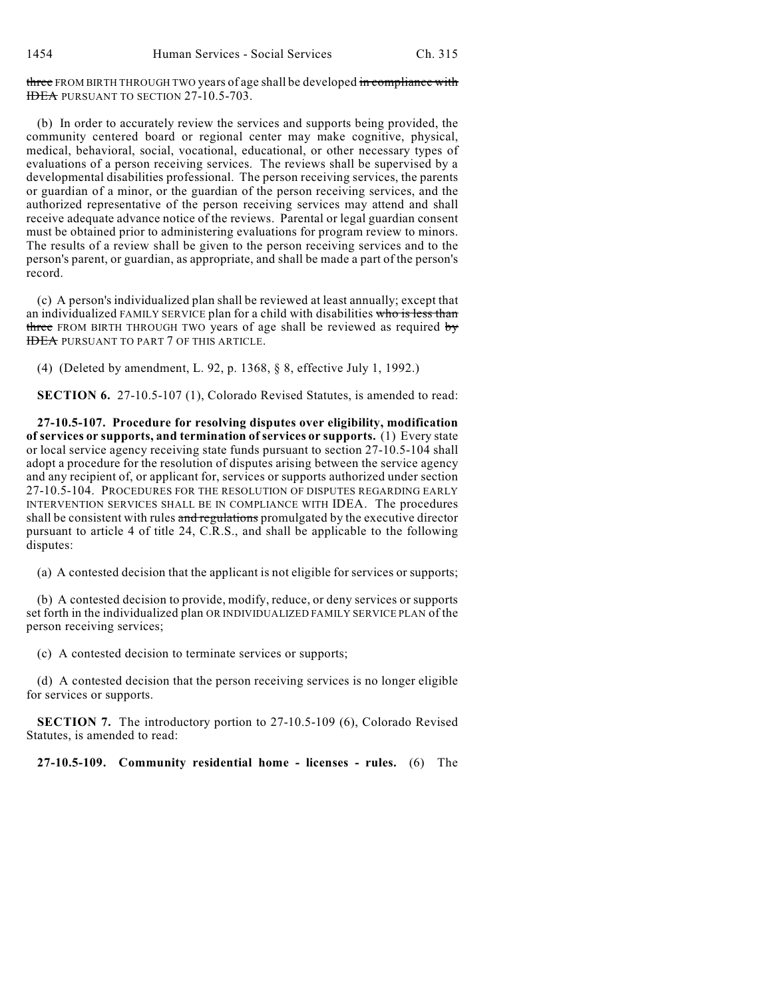three FROM BIRTH THROUGH TWO years of age shall be developed in compliance with IDEA PURSUANT TO SECTION 27-10.5-703.

(b) In order to accurately review the services and supports being provided, the community centered board or regional center may make cognitive, physical, medical, behavioral, social, vocational, educational, or other necessary types of evaluations of a person receiving services. The reviews shall be supervised by a developmental disabilities professional. The person receiving services, the parents or guardian of a minor, or the guardian of the person receiving services, and the authorized representative of the person receiving services may attend and shall receive adequate advance notice of the reviews. Parental or legal guardian consent must be obtained prior to administering evaluations for program review to minors. The results of a review shall be given to the person receiving services and to the person's parent, or guardian, as appropriate, and shall be made a part of the person's record.

(c) A person's individualized plan shall be reviewed at least annually; except that an individualized FAMILY SERVICE plan for a child with disabilities who is less than three FROM BIRTH THROUGH TWO years of age shall be reviewed as required  $b\bar{y}$ **IDEA PURSUANT TO PART 7 OF THIS ARTICLE.** 

(4) (Deleted by amendment, L. 92, p. 1368, § 8, effective July 1, 1992.)

**SECTION 6.** 27-10.5-107 (1), Colorado Revised Statutes, is amended to read:

**27-10.5-107. Procedure for resolving disputes over eligibility, modification of services or supports, and termination of services or supports.** (1) Every state or local service agency receiving state funds pursuant to section 27-10.5-104 shall adopt a procedure for the resolution of disputes arising between the service agency and any recipient of, or applicant for, services or supports authorized under section 27-10.5-104. PROCEDURES FOR THE RESOLUTION OF DISPUTES REGARDING EARLY INTERVENTION SERVICES SHALL BE IN COMPLIANCE WITH IDEA. The procedures shall be consistent with rules and regulations promulgated by the executive director pursuant to article 4 of title 24, C.R.S., and shall be applicable to the following disputes:

(a) A contested decision that the applicant is not eligible for services or supports;

(b) A contested decision to provide, modify, reduce, or deny services or supports set forth in the individualized plan OR INDIVIDUALIZED FAMILY SERVICE PLAN of the person receiving services;

(c) A contested decision to terminate services or supports;

(d) A contested decision that the person receiving services is no longer eligible for services or supports.

**SECTION 7.** The introductory portion to 27-10.5-109 (6), Colorado Revised Statutes, is amended to read:

**27-10.5-109. Community residential home - licenses - rules.** (6) The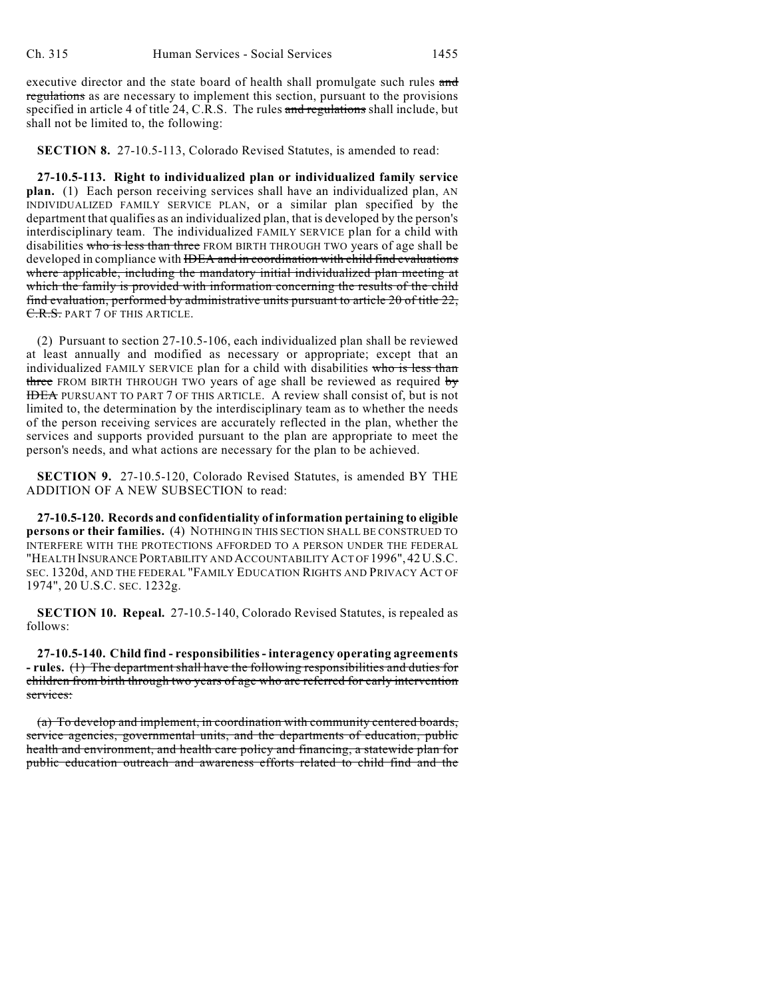executive director and the state board of health shall promulgate such rules and regulations as are necessary to implement this section, pursuant to the provisions specified in article 4 of title 24, C.R.S. The rules and regulations shall include, but shall not be limited to, the following:

**SECTION 8.** 27-10.5-113, Colorado Revised Statutes, is amended to read:

**27-10.5-113. Right to individualized plan or individualized family service plan.** (1) Each person receiving services shall have an individualized plan, AN INDIVIDUALIZED FAMILY SERVICE PLAN, or a similar plan specified by the department that qualifies as an individualized plan, that is developed by the person's interdisciplinary team. The individualized FAMILY SERVICE plan for a child with disabilities who is less than three FROM BIRTH THROUGH TWO years of age shall be developed in compliance with IDEA and in coordination with child find evaluations where applicable, including the mandatory initial individualized plan meeting at which the family is provided with information concerning the results of the child find evaluation, performed by administrative units pursuant to article 20 of title 22, C.R.S. PART 7 OF THIS ARTICLE.

(2) Pursuant to section 27-10.5-106, each individualized plan shall be reviewed at least annually and modified as necessary or appropriate; except that an individualized FAMILY SERVICE plan for a child with disabilities who is less than three FROM BIRTH THROUGH TWO years of age shall be reviewed as required by IDEA PURSUANT TO PART 7 OF THIS ARTICLE. A review shall consist of, but is not limited to, the determination by the interdisciplinary team as to whether the needs of the person receiving services are accurately reflected in the plan, whether the services and supports provided pursuant to the plan are appropriate to meet the person's needs, and what actions are necessary for the plan to be achieved.

**SECTION 9.** 27-10.5-120, Colorado Revised Statutes, is amended BY THE ADDITION OF A NEW SUBSECTION to read:

**27-10.5-120. Records and confidentiality of information pertaining to eligible persons or their families.** (4) NOTHING IN THIS SECTION SHALL BE CONSTRUED TO INTERFERE WITH THE PROTECTIONS AFFORDED TO A PERSON UNDER THE FEDERAL "HEALTH INSURANCE PORTABILITY AND ACCOUNTABILITY ACT OF 1996", 42 U.S.C. SEC. 1320d, AND THE FEDERAL "FAMILY EDUCATION RIGHTS AND PRIVACY ACT OF 1974", 20 U.S.C. SEC. 1232g.

**SECTION 10. Repeal.** 27-10.5-140, Colorado Revised Statutes, is repealed as follows:

**27-10.5-140. Child find - responsibilities - interagency operating agreements - rules.** (1) The department shall have the following responsibilities and duties for children from birth through two years of age who are referred for early intervention services:

(a) To develop and implement, in coordination with community centered boards, service agencies, governmental units, and the departments of education, public health and environment, and health care policy and financing, a statewide plan for public education outreach and awareness efforts related to child find and the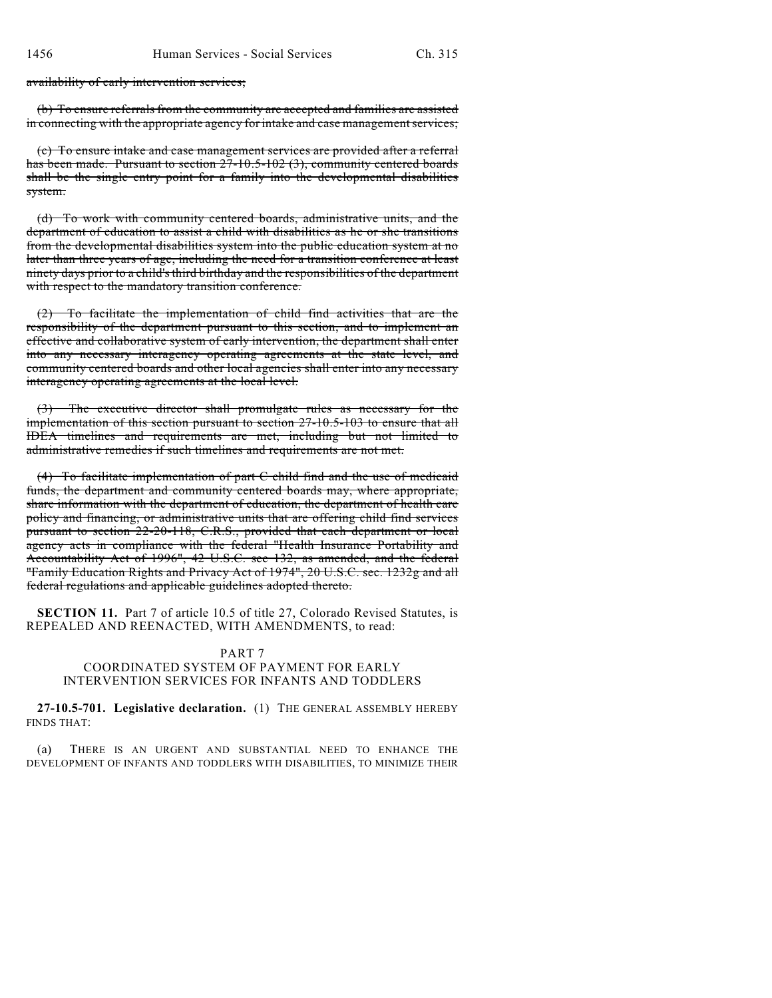availability of early intervention services;

(b) To ensure referrals from the community are accepted and families are assisted in connecting with the appropriate agency for intake and case management services;

(c) To ensure intake and case management services are provided after a referral has been made. Pursuant to section 27-10.5-102 (3), community centered boards shall be the single entry point for a family into the developmental disabilities system.

(d) To work with community centered boards, administrative units, and the department of education to assist a child with disabilities as he or she transitions from the developmental disabilities system into the public education system at no later than three years of age, including the need for a transition conference at least ninety days prior to a child's third birthday and the responsibilities of the department with respect to the mandatory transition conference.

(2) To facilitate the implementation of child find activities that are the responsibility of the department pursuant to this section, and to implement an effective and collaborative system of early intervention, the department shall enter into any necessary interagency operating agreements at the state level, and community centered boards and other local agencies shall enter into any necessary interagency operating agreements at the local level.

The executive director shall promulgate rules as necessary for the implementation of this section pursuant to section 27-10.5-103 to ensure that all IDEA timelines and requirements are met, including but not limited to administrative remedies if such timelines and requirements are not met.

(4) To facilitate implementation of part C child find and the use of medicaid funds, the department and community centered boards may, where appropriate, share information with the department of education, the department of health care policy and financing, or administrative units that are offering child find services pursuant to section 22-20-118, C.R.S., provided that each department or local agency acts in compliance with the federal "Health Insurance Portability and Accountability Act of 1996", 42 U.S.C. sec 132, as amended, and the federal "Family Education Rights and Privacy Act of 1974", 20 U.S.C. sec. 1232g and all federal regulations and applicable guidelines adopted thereto.

**SECTION 11.** Part 7 of article 10.5 of title 27, Colorado Revised Statutes, is REPEALED AND REENACTED, WITH AMENDMENTS, to read:

### PART 7

## COORDINATED SYSTEM OF PAYMENT FOR EARLY INTERVENTION SERVICES FOR INFANTS AND TODDLERS

**27-10.5-701. Legislative declaration.** (1) THE GENERAL ASSEMBLY HEREBY FINDS THAT:

(a) THERE IS AN URGENT AND SUBSTANTIAL NEED TO ENHANCE THE DEVELOPMENT OF INFANTS AND TODDLERS WITH DISABILITIES, TO MINIMIZE THEIR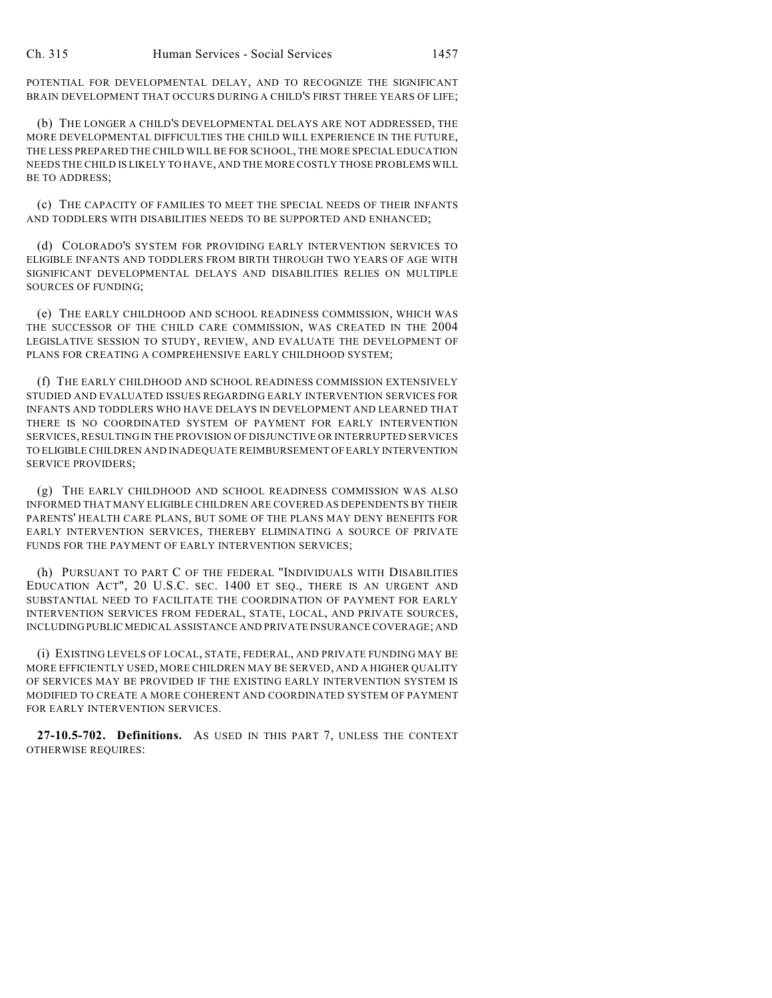POTENTIAL FOR DEVELOPMENTAL DELAY, AND TO RECOGNIZE THE SIGNIFICANT BRAIN DEVELOPMENT THAT OCCURS DURING A CHILD'S FIRST THREE YEARS OF LIFE;

(b) THE LONGER A CHILD'S DEVELOPMENTAL DELAYS ARE NOT ADDRESSED, THE MORE DEVELOPMENTAL DIFFICULTIES THE CHILD WILL EXPERIENCE IN THE FUTURE, THE LESS PREPARED THE CHILD WILL BE FOR SCHOOL, THE MORE SPECIAL EDUCATION NEEDS THE CHILD IS LIKELY TO HAVE, AND THE MORE COSTLY THOSE PROBLEMS WILL BE TO ADDRESS;

(c) THE CAPACITY OF FAMILIES TO MEET THE SPECIAL NEEDS OF THEIR INFANTS AND TODDLERS WITH DISABILITIES NEEDS TO BE SUPPORTED AND ENHANCED;

(d) COLORADO'S SYSTEM FOR PROVIDING EARLY INTERVENTION SERVICES TO ELIGIBLE INFANTS AND TODDLERS FROM BIRTH THROUGH TWO YEARS OF AGE WITH SIGNIFICANT DEVELOPMENTAL DELAYS AND DISABILITIES RELIES ON MULTIPLE SOURCES OF FUNDING;

(e) THE EARLY CHILDHOOD AND SCHOOL READINESS COMMISSION, WHICH WAS THE SUCCESSOR OF THE CHILD CARE COMMISSION, WAS CREATED IN THE 2004 LEGISLATIVE SESSION TO STUDY, REVIEW, AND EVALUATE THE DEVELOPMENT OF PLANS FOR CREATING A COMPREHENSIVE EARLY CHILDHOOD SYSTEM;

(f) THE EARLY CHILDHOOD AND SCHOOL READINESS COMMISSION EXTENSIVELY STUDIED AND EVALUATED ISSUES REGARDING EARLY INTERVENTION SERVICES FOR INFANTS AND TODDLERS WHO HAVE DELAYS IN DEVELOPMENT AND LEARNED THAT THERE IS NO COORDINATED SYSTEM OF PAYMENT FOR EARLY INTERVENTION SERVICES, RESULTING IN THE PROVISION OF DISJUNCTIVE OR INTERRUPTED SERVICES TO ELIGIBLE CHILDREN AND INADEQUATE REIMBURSEMENT OF EARLY INTERVENTION SERVICE PROVIDERS;

(g) THE EARLY CHILDHOOD AND SCHOOL READINESS COMMISSION WAS ALSO INFORMED THAT MANY ELIGIBLE CHILDREN ARE COVERED AS DEPENDENTS BY THEIR PARENTS' HEALTH CARE PLANS, BUT SOME OF THE PLANS MAY DENY BENEFITS FOR EARLY INTERVENTION SERVICES, THEREBY ELIMINATING A SOURCE OF PRIVATE FUNDS FOR THE PAYMENT OF EARLY INTERVENTION SERVICES;

(h) PURSUANT TO PART C OF THE FEDERAL "INDIVIDUALS WITH DISABILITIES EDUCATION ACT", 20 U.S.C. SEC. 1400 ET SEQ., THERE IS AN URGENT AND SUBSTANTIAL NEED TO FACILITATE THE COORDINATION OF PAYMENT FOR EARLY INTERVENTION SERVICES FROM FEDERAL, STATE, LOCAL, AND PRIVATE SOURCES, INCLUDING PUBLIC MEDICAL ASSISTANCE AND PRIVATE INSURANCE COVERAGE; AND

(i) EXISTING LEVELS OF LOCAL, STATE, FEDERAL, AND PRIVATE FUNDING MAY BE MORE EFFICIENTLY USED, MORE CHILDREN MAY BE SERVED, AND A HIGHER QUALITY OF SERVICES MAY BE PROVIDED IF THE EXISTING EARLY INTERVENTION SYSTEM IS MODIFIED TO CREATE A MORE COHERENT AND COORDINATED SYSTEM OF PAYMENT FOR EARLY INTERVENTION SERVICES.

**27-10.5-702. Definitions.** AS USED IN THIS PART 7, UNLESS THE CONTEXT OTHERWISE REQUIRES: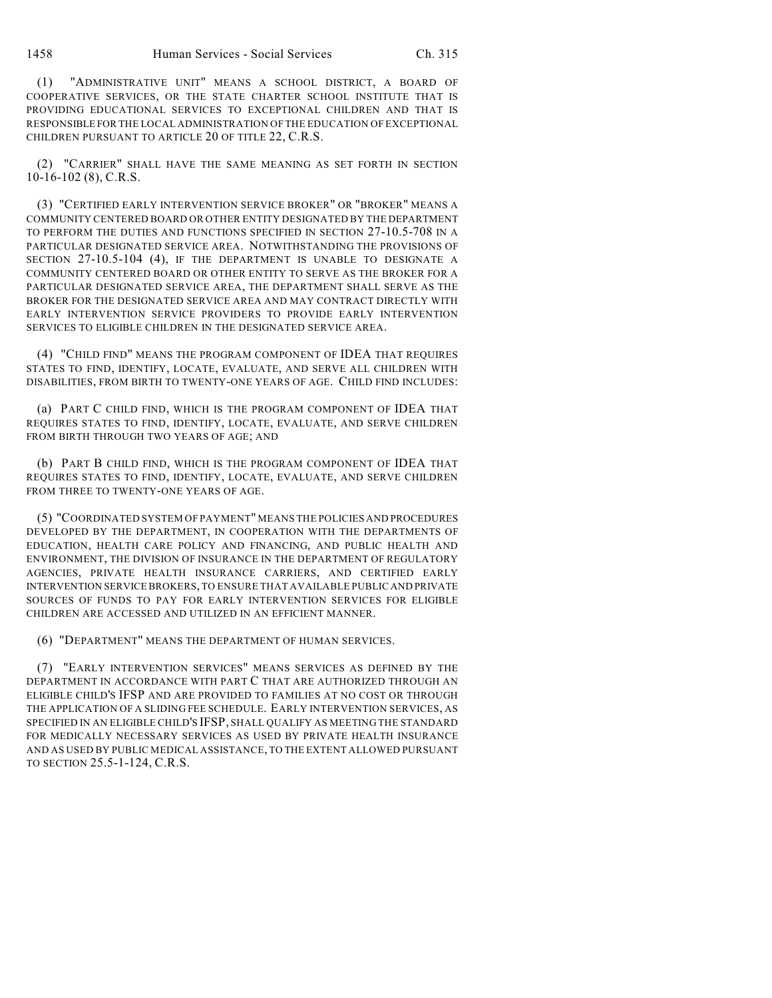(1) "ADMINISTRATIVE UNIT" MEANS A SCHOOL DISTRICT, A BOARD OF COOPERATIVE SERVICES, OR THE STATE CHARTER SCHOOL INSTITUTE THAT IS PROVIDING EDUCATIONAL SERVICES TO EXCEPTIONAL CHILDREN AND THAT IS RESPONSIBLE FOR THE LOCAL ADMINISTRATION OF THE EDUCATION OF EXCEPTIONAL CHILDREN PURSUANT TO ARTICLE 20 OF TITLE 22, C.R.S.

(2) "CARRIER" SHALL HAVE THE SAME MEANING AS SET FORTH IN SECTION 10-16-102 (8), C.R.S.

(3) "CERTIFIED EARLY INTERVENTION SERVICE BROKER" OR "BROKER" MEANS A COMMUNITY CENTERED BOARD OR OTHER ENTITY DESIGNATED BY THE DEPARTMENT TO PERFORM THE DUTIES AND FUNCTIONS SPECIFIED IN SECTION 27-10.5-708 IN A PARTICULAR DESIGNATED SERVICE AREA. NOTWITHSTANDING THE PROVISIONS OF SECTION 27-10.5-104 (4), IF THE DEPARTMENT IS UNABLE TO DESIGNATE A COMMUNITY CENTERED BOARD OR OTHER ENTITY TO SERVE AS THE BROKER FOR A PARTICULAR DESIGNATED SERVICE AREA, THE DEPARTMENT SHALL SERVE AS THE BROKER FOR THE DESIGNATED SERVICE AREA AND MAY CONTRACT DIRECTLY WITH EARLY INTERVENTION SERVICE PROVIDERS TO PROVIDE EARLY INTERVENTION SERVICES TO ELIGIBLE CHILDREN IN THE DESIGNATED SERVICE AREA.

(4) "CHILD FIND" MEANS THE PROGRAM COMPONENT OF IDEA THAT REQUIRES STATES TO FIND, IDENTIFY, LOCATE, EVALUATE, AND SERVE ALL CHILDREN WITH DISABILITIES, FROM BIRTH TO TWENTY-ONE YEARS OF AGE. CHILD FIND INCLUDES:

(a) PART C CHILD FIND, WHICH IS THE PROGRAM COMPONENT OF IDEA THAT REQUIRES STATES TO FIND, IDENTIFY, LOCATE, EVALUATE, AND SERVE CHILDREN FROM BIRTH THROUGH TWO YEARS OF AGE; AND

(b) PART B CHILD FIND, WHICH IS THE PROGRAM COMPONENT OF IDEA THAT REQUIRES STATES TO FIND, IDENTIFY, LOCATE, EVALUATE, AND SERVE CHILDREN FROM THREE TO TWENTY-ONE YEARS OF AGE.

(5) "COORDINATED SYSTEM OF PAYMENT" MEANS THE POLICIES AND PROCEDURES DEVELOPED BY THE DEPARTMENT, IN COOPERATION WITH THE DEPARTMENTS OF EDUCATION, HEALTH CARE POLICY AND FINANCING, AND PUBLIC HEALTH AND ENVIRONMENT, THE DIVISION OF INSURANCE IN THE DEPARTMENT OF REGULATORY AGENCIES, PRIVATE HEALTH INSURANCE CARRIERS, AND CERTIFIED EARLY INTERVENTION SERVICE BROKERS, TO ENSURE THAT AVAILABLE PUBLIC AND PRIVATE SOURCES OF FUNDS TO PAY FOR EARLY INTERVENTION SERVICES FOR ELIGIBLE CHILDREN ARE ACCESSED AND UTILIZED IN AN EFFICIENT MANNER.

(6) "DEPARTMENT" MEANS THE DEPARTMENT OF HUMAN SERVICES.

(7) "EARLY INTERVENTION SERVICES" MEANS SERVICES AS DEFINED BY THE DEPARTMENT IN ACCORDANCE WITH PART C THAT ARE AUTHORIZED THROUGH AN ELIGIBLE CHILD'S IFSP AND ARE PROVIDED TO FAMILIES AT NO COST OR THROUGH THE APPLICATION OF A SLIDING FEE SCHEDULE. EARLY INTERVENTION SERVICES, AS SPECIFIED IN AN ELIGIBLE CHILD'S IFSP, SHALL QUALIFY AS MEETING THE STANDARD FOR MEDICALLY NECESSARY SERVICES AS USED BY PRIVATE HEALTH INSURANCE AND AS USED BY PUBLIC MEDICAL ASSISTANCE, TO THE EXTENT ALLOWED PURSUANT TO SECTION 25.5-1-124, C.R.S.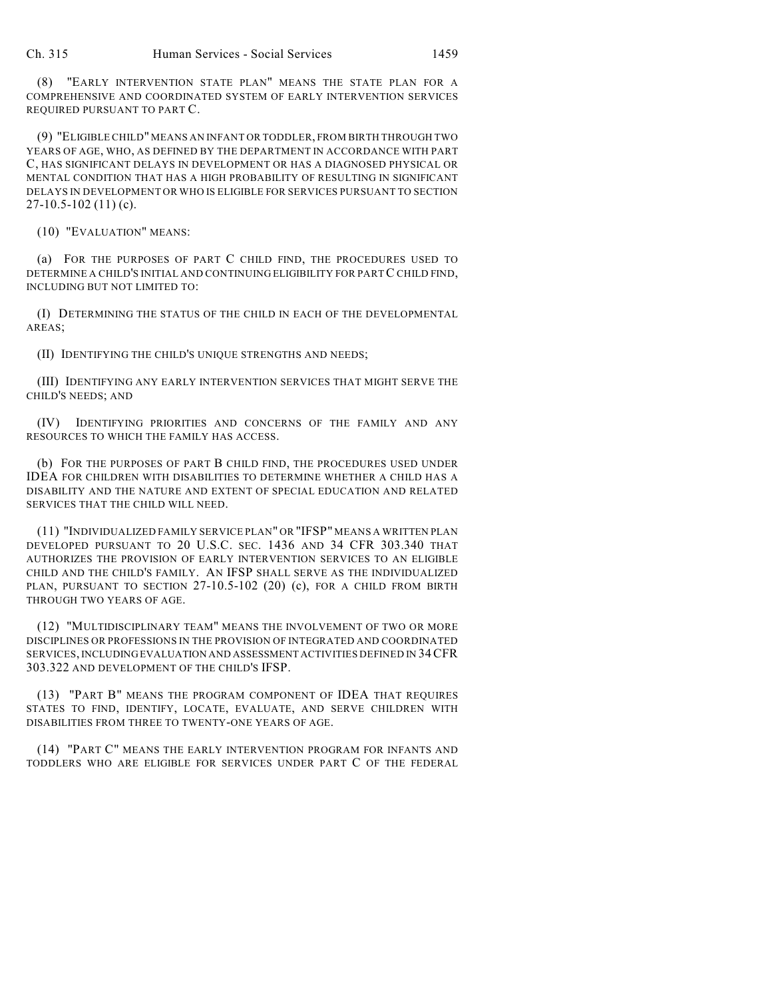(8) "EARLY INTERVENTION STATE PLAN" MEANS THE STATE PLAN FOR A COMPREHENSIVE AND COORDINATED SYSTEM OF EARLY INTERVENTION SERVICES REQUIRED PURSUANT TO PART C.

(9) "ELIGIBLE CHILD" MEANS AN INFANT OR TODDLER, FROM BIRTH THROUGH TWO YEARS OF AGE, WHO, AS DEFINED BY THE DEPARTMENT IN ACCORDANCE WITH PART C, HAS SIGNIFICANT DELAYS IN DEVELOPMENT OR HAS A DIAGNOSED PHYSICAL OR MENTAL CONDITION THAT HAS A HIGH PROBABILITY OF RESULTING IN SIGNIFICANT DELAYS IN DEVELOPMENT OR WHO IS ELIGIBLE FOR SERVICES PURSUANT TO SECTION  $27-10.5-102(11)(c)$ .

(10) "EVALUATION" MEANS:

(a) FOR THE PURPOSES OF PART C CHILD FIND, THE PROCEDURES USED TO DETERMINE A CHILD'S INITIAL AND CONTINUING ELIGIBILITY FOR PART C CHILD FIND, INCLUDING BUT NOT LIMITED TO:

(I) DETERMINING THE STATUS OF THE CHILD IN EACH OF THE DEVELOPMENTAL AREAS;

(II) IDENTIFYING THE CHILD'S UNIQUE STRENGTHS AND NEEDS;

(III) IDENTIFYING ANY EARLY INTERVENTION SERVICES THAT MIGHT SERVE THE CHILD'S NEEDS; AND

(IV) IDENTIFYING PRIORITIES AND CONCERNS OF THE FAMILY AND ANY RESOURCES TO WHICH THE FAMILY HAS ACCESS.

(b) FOR THE PURPOSES OF PART B CHILD FIND, THE PROCEDURES USED UNDER IDEA FOR CHILDREN WITH DISABILITIES TO DETERMINE WHETHER A CHILD HAS A DISABILITY AND THE NATURE AND EXTENT OF SPECIAL EDUCATION AND RELATED SERVICES THAT THE CHILD WILL NEED.

(11) "INDIVIDUALIZED FAMILY SERVICE PLAN" OR "IFSP" MEANS A WRITTEN PLAN DEVELOPED PURSUANT TO 20 U.S.C. SEC. 1436 AND 34 CFR 303.340 THAT AUTHORIZES THE PROVISION OF EARLY INTERVENTION SERVICES TO AN ELIGIBLE CHILD AND THE CHILD'S FAMILY. AN IFSP SHALL SERVE AS THE INDIVIDUALIZED PLAN, PURSUANT TO SECTION 27-10.5-102 (20) (c), FOR A CHILD FROM BIRTH THROUGH TWO YEARS OF AGE.

(12) "MULTIDISCIPLINARY TEAM" MEANS THE INVOLVEMENT OF TWO OR MORE DISCIPLINES OR PROFESSIONS IN THE PROVISION OF INTEGRATED AND COORDINATED SERVICES, INCLUDING EVALUATION AND ASSESSMENT ACTIVITIES DEFINED IN 34CFR 303.322 AND DEVELOPMENT OF THE CHILD'S IFSP.

(13) "PART B" MEANS THE PROGRAM COMPONENT OF IDEA THAT REQUIRES STATES TO FIND, IDENTIFY, LOCATE, EVALUATE, AND SERVE CHILDREN WITH DISABILITIES FROM THREE TO TWENTY-ONE YEARS OF AGE.

(14) "PART C" MEANS THE EARLY INTERVENTION PROGRAM FOR INFANTS AND TODDLERS WHO ARE ELIGIBLE FOR SERVICES UNDER PART C OF THE FEDERAL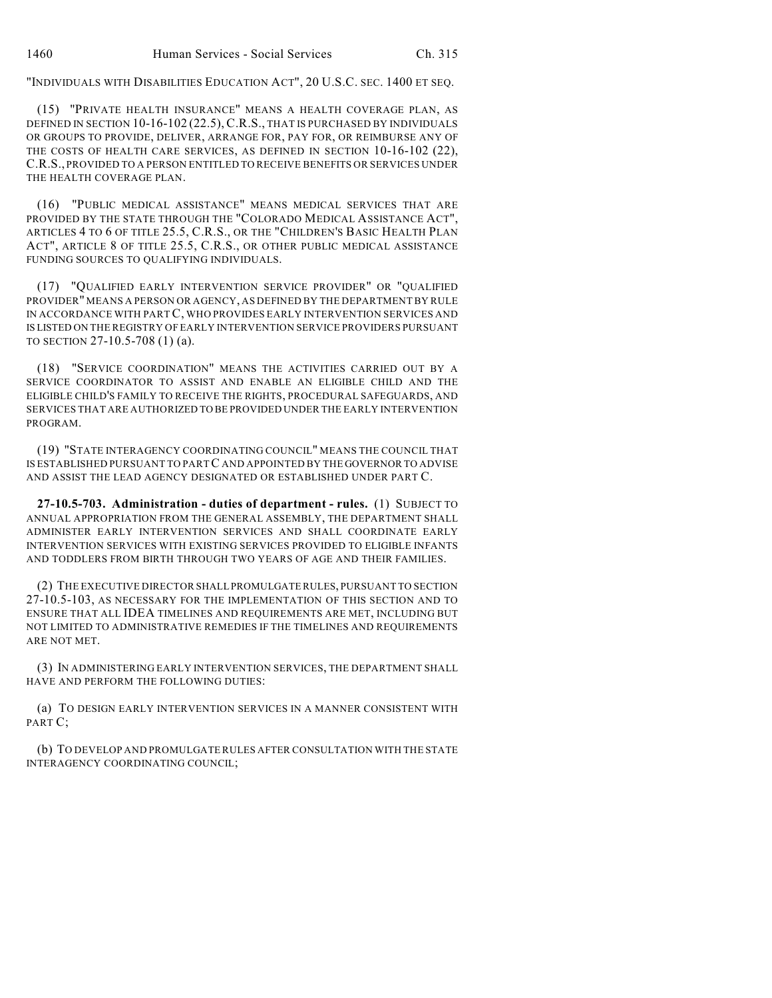"INDIVIDUALS WITH DISABILITIES EDUCATION ACT", 20 U.S.C. SEC. 1400 ET SEQ.

(15) "PRIVATE HEALTH INSURANCE" MEANS A HEALTH COVERAGE PLAN, AS DEFINED IN SECTION 10-16-102 (22.5), C.R.S., THAT IS PURCHASED BY INDIVIDUALS OR GROUPS TO PROVIDE, DELIVER, ARRANGE FOR, PAY FOR, OR REIMBURSE ANY OF THE COSTS OF HEALTH CARE SERVICES, AS DEFINED IN SECTION 10-16-102 (22), C.R.S., PROVIDED TO A PERSON ENTITLED TO RECEIVE BENEFITS OR SERVICES UNDER THE HEALTH COVERAGE PLAN.

(16) "PUBLIC MEDICAL ASSISTANCE" MEANS MEDICAL SERVICES THAT ARE PROVIDED BY THE STATE THROUGH THE "COLORADO MEDICAL ASSISTANCE ACT", ARTICLES 4 TO 6 OF TITLE 25.5, C.R.S., OR THE "CHILDREN'S BASIC HEALTH PLAN ACT", ARTICLE 8 OF TITLE 25.5, C.R.S., OR OTHER PUBLIC MEDICAL ASSISTANCE FUNDING SOURCES TO QUALIFYING INDIVIDUALS.

(17) "QUALIFIED EARLY INTERVENTION SERVICE PROVIDER" OR "QUALIFIED PROVIDER" MEANS A PERSON OR AGENCY, AS DEFINED BY THE DEPARTMENT BY RULE IN ACCORDANCE WITH PART C, WHO PROVIDES EARLY INTERVENTION SERVICES AND IS LISTED ON THE REGISTRY OF EARLY INTERVENTION SERVICE PROVIDERS PURSUANT TO SECTION 27-10.5-708 (1) (a).

(18) "SERVICE COORDINATION" MEANS THE ACTIVITIES CARRIED OUT BY A SERVICE COORDINATOR TO ASSIST AND ENABLE AN ELIGIBLE CHILD AND THE ELIGIBLE CHILD'S FAMILY TO RECEIVE THE RIGHTS, PROCEDURAL SAFEGUARDS, AND SERVICES THAT ARE AUTHORIZED TO BE PROVIDED UNDER THE EARLY INTERVENTION PROGRAM.

(19) "STATE INTERAGENCY COORDINATING COUNCIL" MEANS THE COUNCIL THAT IS ESTABLISHED PURSUANT TO PART C AND APPOINTED BY THE GOVERNOR TO ADVISE AND ASSIST THE LEAD AGENCY DESIGNATED OR ESTABLISHED UNDER PART C.

**27-10.5-703. Administration - duties of department - rules.** (1) SUBJECT TO ANNUAL APPROPRIATION FROM THE GENERAL ASSEMBLY, THE DEPARTMENT SHALL ADMINISTER EARLY INTERVENTION SERVICES AND SHALL COORDINATE EARLY INTERVENTION SERVICES WITH EXISTING SERVICES PROVIDED TO ELIGIBLE INFANTS AND TODDLERS FROM BIRTH THROUGH TWO YEARS OF AGE AND THEIR FAMILIES.

(2) THE EXECUTIVE DIRECTOR SHALL PROMULGATE RULES, PURSUANT TO SECTION 27-10.5-103, AS NECESSARY FOR THE IMPLEMENTATION OF THIS SECTION AND TO ENSURE THAT ALL IDEA TIMELINES AND REQUIREMENTS ARE MET, INCLUDING BUT NOT LIMITED TO ADMINISTRATIVE REMEDIES IF THE TIMELINES AND REQUIREMENTS ARE NOT MET.

(3) IN ADMINISTERING EARLY INTERVENTION SERVICES, THE DEPARTMENT SHALL HAVE AND PERFORM THE FOLLOWING DUTIES:

(a) TO DESIGN EARLY INTERVENTION SERVICES IN A MANNER CONSISTENT WITH PART C;

(b) TO DEVELOP AND PROMULGATE RULES AFTER CONSULTATION WITH THE STATE INTERAGENCY COORDINATING COUNCIL;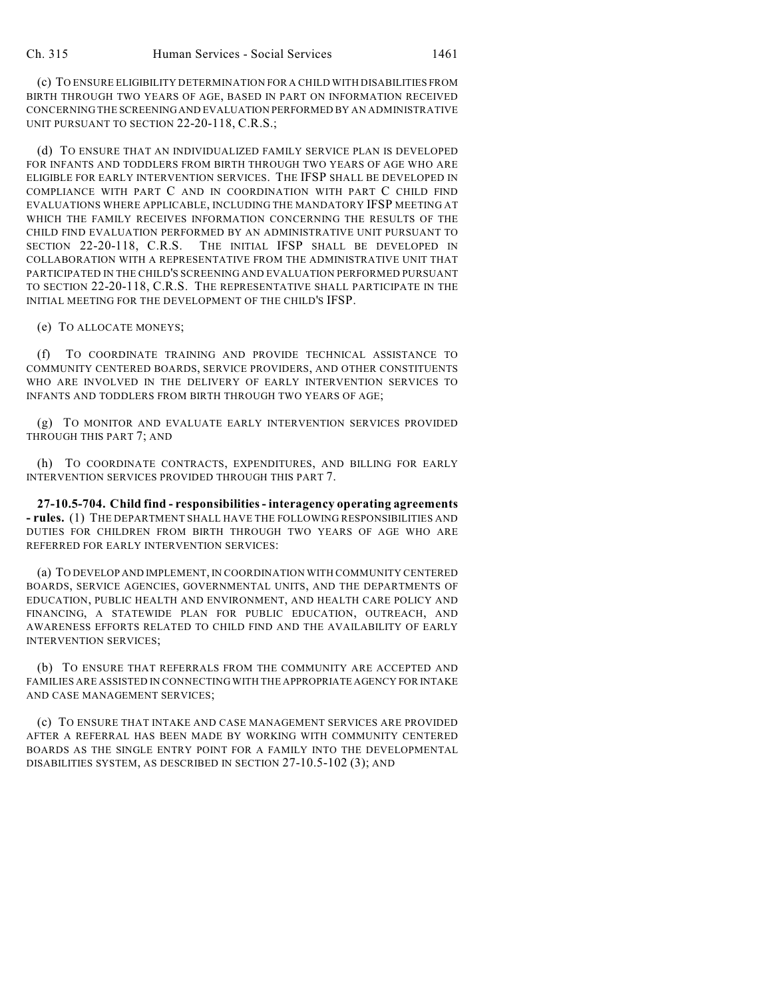(c) TO ENSURE ELIGIBILITY DETERMINATION FOR A CHILD WITH DISABILITIES FROM BIRTH THROUGH TWO YEARS OF AGE, BASED IN PART ON INFORMATION RECEIVED CONCERNING THE SCREENING AND EVALUATION PERFORMED BY AN ADMINISTRATIVE UNIT PURSUANT TO SECTION 22-20-118, C.R.S.;

(d) TO ENSURE THAT AN INDIVIDUALIZED FAMILY SERVICE PLAN IS DEVELOPED FOR INFANTS AND TODDLERS FROM BIRTH THROUGH TWO YEARS OF AGE WHO ARE ELIGIBLE FOR EARLY INTERVENTION SERVICES. THE IFSP SHALL BE DEVELOPED IN COMPLIANCE WITH PART C AND IN COORDINATION WITH PART C CHILD FIND EVALUATIONS WHERE APPLICABLE, INCLUDING THE MANDATORY IFSP MEETING AT WHICH THE FAMILY RECEIVES INFORMATION CONCERNING THE RESULTS OF THE CHILD FIND EVALUATION PERFORMED BY AN ADMINISTRATIVE UNIT PURSUANT TO SECTION 22-20-118, C.R.S. THE INITIAL IFSP SHALL BE DEVELOPED IN COLLABORATION WITH A REPRESENTATIVE FROM THE ADMINISTRATIVE UNIT THAT PARTICIPATED IN THE CHILD'S SCREENING AND EVALUATION PERFORMED PURSUANT TO SECTION 22-20-118, C.R.S. THE REPRESENTATIVE SHALL PARTICIPATE IN THE INITIAL MEETING FOR THE DEVELOPMENT OF THE CHILD'S IFSP.

(e) TO ALLOCATE MONEYS;

(f) TO COORDINATE TRAINING AND PROVIDE TECHNICAL ASSISTANCE TO COMMUNITY CENTERED BOARDS, SERVICE PROVIDERS, AND OTHER CONSTITUENTS WHO ARE INVOLVED IN THE DELIVERY OF EARLY INTERVENTION SERVICES TO INFANTS AND TODDLERS FROM BIRTH THROUGH TWO YEARS OF AGE;

(g) TO MONITOR AND EVALUATE EARLY INTERVENTION SERVICES PROVIDED THROUGH THIS PART 7; AND

(h) TO COORDINATE CONTRACTS, EXPENDITURES, AND BILLING FOR EARLY INTERVENTION SERVICES PROVIDED THROUGH THIS PART 7.

**27-10.5-704. Child find - responsibilities - interagency operating agreements - rules.** (1) THE DEPARTMENT SHALL HAVE THE FOLLOWING RESPONSIBILITIES AND DUTIES FOR CHILDREN FROM BIRTH THROUGH TWO YEARS OF AGE WHO ARE REFERRED FOR EARLY INTERVENTION SERVICES:

(a) TO DEVELOP AND IMPLEMENT, IN COORDINATION WITH COMMUNITY CENTERED BOARDS, SERVICE AGENCIES, GOVERNMENTAL UNITS, AND THE DEPARTMENTS OF EDUCATION, PUBLIC HEALTH AND ENVIRONMENT, AND HEALTH CARE POLICY AND FINANCING, A STATEWIDE PLAN FOR PUBLIC EDUCATION, OUTREACH, AND AWARENESS EFFORTS RELATED TO CHILD FIND AND THE AVAILABILITY OF EARLY INTERVENTION SERVICES;

(b) TO ENSURE THAT REFERRALS FROM THE COMMUNITY ARE ACCEPTED AND FAMILIES ARE ASSISTED IN CONNECTING WITH THE APPROPRIATE AGENCY FOR INTAKE AND CASE MANAGEMENT SERVICES;

(c) TO ENSURE THAT INTAKE AND CASE MANAGEMENT SERVICES ARE PROVIDED AFTER A REFERRAL HAS BEEN MADE BY WORKING WITH COMMUNITY CENTERED BOARDS AS THE SINGLE ENTRY POINT FOR A FAMILY INTO THE DEVELOPMENTAL DISABILITIES SYSTEM, AS DESCRIBED IN SECTION 27-10.5-102 (3); AND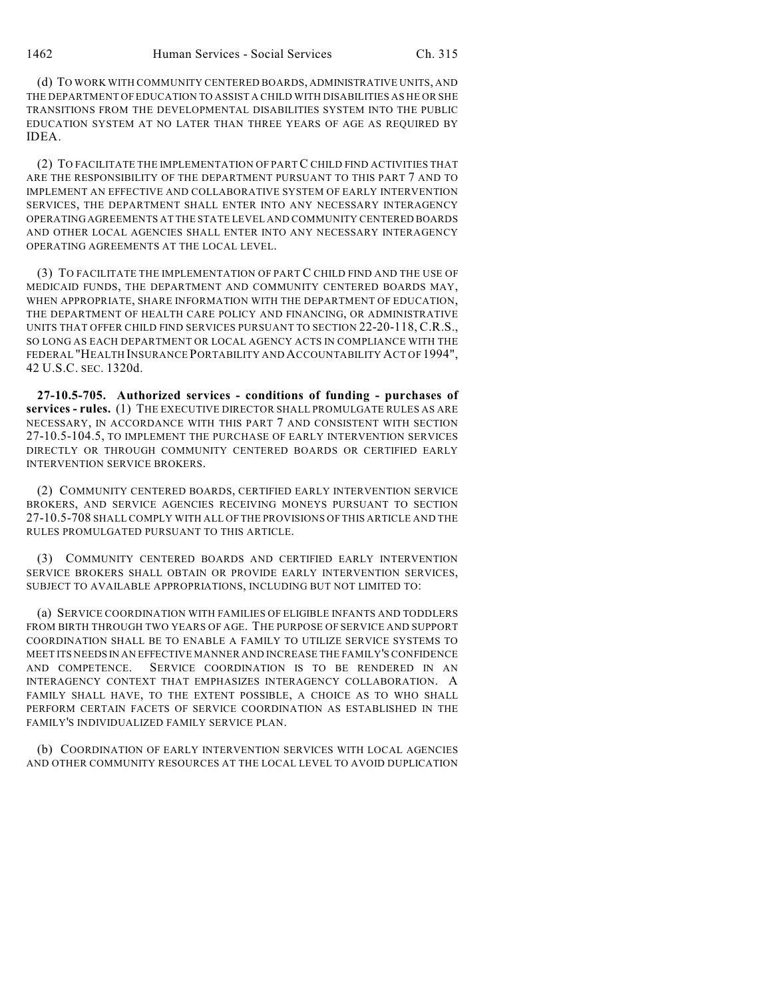(d) TO WORK WITH COMMUNITY CENTERED BOARDS, ADMINISTRATIVE UNITS, AND THE DEPARTMENT OF EDUCATION TO ASSIST A CHILD WITH DISABILITIES AS HE OR SHE TRANSITIONS FROM THE DEVELOPMENTAL DISABILITIES SYSTEM INTO THE PUBLIC EDUCATION SYSTEM AT NO LATER THAN THREE YEARS OF AGE AS REQUIRED BY IDEA.

(2) TO FACILITATE THE IMPLEMENTATION OF PART C CHILD FIND ACTIVITIES THAT ARE THE RESPONSIBILITY OF THE DEPARTMENT PURSUANT TO THIS PART 7 AND TO IMPLEMENT AN EFFECTIVE AND COLLABORATIVE SYSTEM OF EARLY INTERVENTION SERVICES, THE DEPARTMENT SHALL ENTER INTO ANY NECESSARY INTERAGENCY OPERATING AGREEMENTS AT THE STATE LEVEL AND COMMUNITY CENTERED BOARDS AND OTHER LOCAL AGENCIES SHALL ENTER INTO ANY NECESSARY INTERAGENCY OPERATING AGREEMENTS AT THE LOCAL LEVEL.

(3) TO FACILITATE THE IMPLEMENTATION OF PART C CHILD FIND AND THE USE OF MEDICAID FUNDS, THE DEPARTMENT AND COMMUNITY CENTERED BOARDS MAY, WHEN APPROPRIATE, SHARE INFORMATION WITH THE DEPARTMENT OF EDUCATION, THE DEPARTMENT OF HEALTH CARE POLICY AND FINANCING, OR ADMINISTRATIVE UNITS THAT OFFER CHILD FIND SERVICES PURSUANT TO SECTION 22-20-118, C.R.S., SO LONG AS EACH DEPARTMENT OR LOCAL AGENCY ACTS IN COMPLIANCE WITH THE FEDERAL "HEALTH INSURANCE PORTABILITY AND ACCOUNTABILITY ACT OF 1994", 42 U.S.C. SEC. 1320d.

**27-10.5-705. Authorized services - conditions of funding - purchases of services - rules.** (1) THE EXECUTIVE DIRECTOR SHALL PROMULGATE RULES AS ARE NECESSARY, IN ACCORDANCE WITH THIS PART 7 AND CONSISTENT WITH SECTION 27-10.5-104.5, TO IMPLEMENT THE PURCHASE OF EARLY INTERVENTION SERVICES DIRECTLY OR THROUGH COMMUNITY CENTERED BOARDS OR CERTIFIED EARLY INTERVENTION SERVICE BROKERS.

(2) COMMUNITY CENTERED BOARDS, CERTIFIED EARLY INTERVENTION SERVICE BROKERS, AND SERVICE AGENCIES RECEIVING MONEYS PURSUANT TO SECTION 27-10.5-708 SHALL COMPLY WITH ALL OF THE PROVISIONS OF THIS ARTICLE AND THE RULES PROMULGATED PURSUANT TO THIS ARTICLE.

(3) COMMUNITY CENTERED BOARDS AND CERTIFIED EARLY INTERVENTION SERVICE BROKERS SHALL OBTAIN OR PROVIDE EARLY INTERVENTION SERVICES, SUBJECT TO AVAILABLE APPROPRIATIONS, INCLUDING BUT NOT LIMITED TO:

(a) SERVICE COORDINATION WITH FAMILIES OF ELIGIBLE INFANTS AND TODDLERS FROM BIRTH THROUGH TWO YEARS OF AGE. THE PURPOSE OF SERVICE AND SUPPORT COORDINATION SHALL BE TO ENABLE A FAMILY TO UTILIZE SERVICE SYSTEMS TO MEET ITS NEEDS IN AN EFFECTIVE MANNER AND INCREASE THE FAMILY'S CONFIDENCE AND COMPETENCE. SERVICE COORDINATION IS TO BE RENDERED IN AN INTERAGENCY CONTEXT THAT EMPHASIZES INTERAGENCY COLLABORATION. A FAMILY SHALL HAVE, TO THE EXTENT POSSIBLE, A CHOICE AS TO WHO SHALL PERFORM CERTAIN FACETS OF SERVICE COORDINATION AS ESTABLISHED IN THE FAMILY'S INDIVIDUALIZED FAMILY SERVICE PLAN.

(b) COORDINATION OF EARLY INTERVENTION SERVICES WITH LOCAL AGENCIES AND OTHER COMMUNITY RESOURCES AT THE LOCAL LEVEL TO AVOID DUPLICATION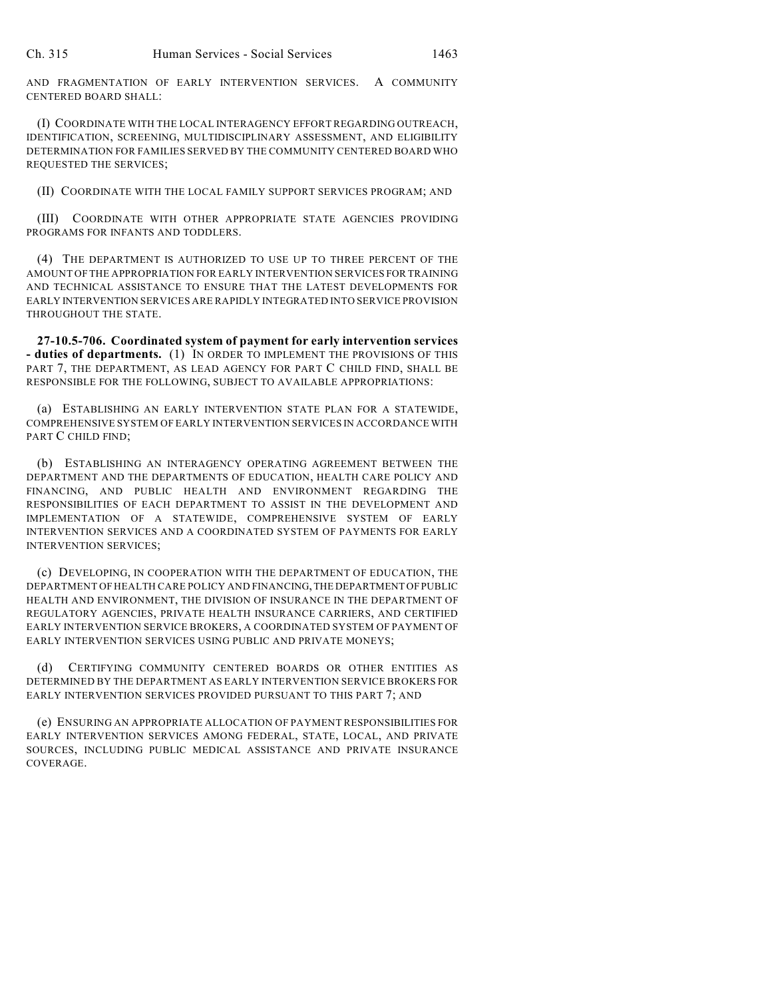AND FRAGMENTATION OF EARLY INTERVENTION SERVICES. A COMMUNITY CENTERED BOARD SHALL:

(I) COORDINATE WITH THE LOCAL INTERAGENCY EFFORT REGARDING OUTREACH, IDENTIFICATION, SCREENING, MULTIDISCIPLINARY ASSESSMENT, AND ELIGIBILITY DETERMINATION FOR FAMILIES SERVED BY THE COMMUNITY CENTERED BOARD WHO REQUESTED THE SERVICES;

(II) COORDINATE WITH THE LOCAL FAMILY SUPPORT SERVICES PROGRAM; AND

(III) COORDINATE WITH OTHER APPROPRIATE STATE AGENCIES PROVIDING PROGRAMS FOR INFANTS AND TODDLERS.

(4) THE DEPARTMENT IS AUTHORIZED TO USE UP TO THREE PERCENT OF THE AMOUNT OF THE APPROPRIATION FOR EARLY INTERVENTION SERVICES FOR TRAINING AND TECHNICAL ASSISTANCE TO ENSURE THAT THE LATEST DEVELOPMENTS FOR EARLY INTERVENTION SERVICES ARE RAPIDLY INTEGRATED INTO SERVICE PROVISION THROUGHOUT THE STATE.

**27-10.5-706. Coordinated system of payment for early intervention services - duties of departments.** (1) IN ORDER TO IMPLEMENT THE PROVISIONS OF THIS PART 7, THE DEPARTMENT, AS LEAD AGENCY FOR PART C CHILD FIND, SHALL BE RESPONSIBLE FOR THE FOLLOWING, SUBJECT TO AVAILABLE APPROPRIATIONS:

(a) ESTABLISHING AN EARLY INTERVENTION STATE PLAN FOR A STATEWIDE, COMPREHENSIVE SYSTEM OF EARLY INTERVENTION SERVICES IN ACCORDANCE WITH PART C CHILD FIND;

(b) ESTABLISHING AN INTERAGENCY OPERATING AGREEMENT BETWEEN THE DEPARTMENT AND THE DEPARTMENTS OF EDUCATION, HEALTH CARE POLICY AND FINANCING, AND PUBLIC HEALTH AND ENVIRONMENT REGARDING THE RESPONSIBILITIES OF EACH DEPARTMENT TO ASSIST IN THE DEVELOPMENT AND IMPLEMENTATION OF A STATEWIDE, COMPREHENSIVE SYSTEM OF EARLY INTERVENTION SERVICES AND A COORDINATED SYSTEM OF PAYMENTS FOR EARLY INTERVENTION SERVICES;

(c) DEVELOPING, IN COOPERATION WITH THE DEPARTMENT OF EDUCATION, THE DEPARTMENT OF HEALTH CARE POLICY AND FINANCING, THE DEPARTMENT OF PUBLIC HEALTH AND ENVIRONMENT, THE DIVISION OF INSURANCE IN THE DEPARTMENT OF REGULATORY AGENCIES, PRIVATE HEALTH INSURANCE CARRIERS, AND CERTIFIED EARLY INTERVENTION SERVICE BROKERS, A COORDINATED SYSTEM OF PAYMENT OF EARLY INTERVENTION SERVICES USING PUBLIC AND PRIVATE MONEYS;

CERTIFYING COMMUNITY CENTERED BOARDS OR OTHER ENTITIES AS DETERMINED BY THE DEPARTMENT AS EARLY INTERVENTION SERVICE BROKERS FOR EARLY INTERVENTION SERVICES PROVIDED PURSUANT TO THIS PART 7; AND

(e) ENSURING AN APPROPRIATE ALLOCATION OF PAYMENT RESPONSIBILITIES FOR EARLY INTERVENTION SERVICES AMONG FEDERAL, STATE, LOCAL, AND PRIVATE SOURCES, INCLUDING PUBLIC MEDICAL ASSISTANCE AND PRIVATE INSURANCE COVERAGE.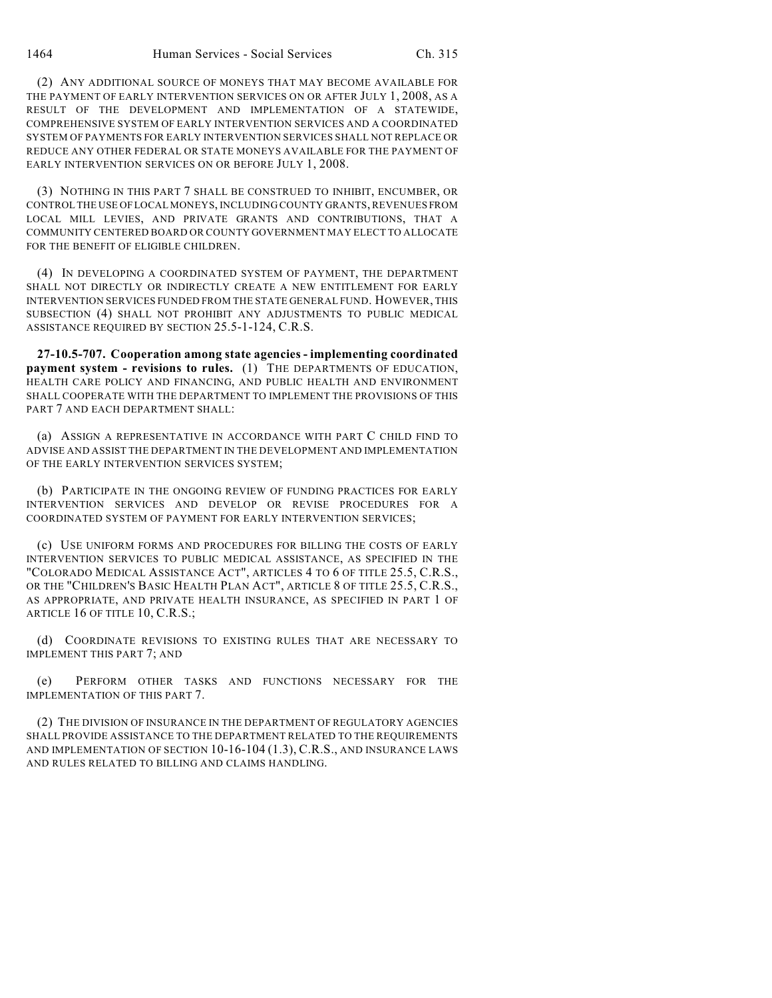(2) ANY ADDITIONAL SOURCE OF MONEYS THAT MAY BECOME AVAILABLE FOR THE PAYMENT OF EARLY INTERVENTION SERVICES ON OR AFTER JULY 1, 2008, AS A RESULT OF THE DEVELOPMENT AND IMPLEMENTATION OF A STATEWIDE, COMPREHENSIVE SYSTEM OF EARLY INTERVENTION SERVICES AND A COORDINATED SYSTEM OF PAYMENTS FOR EARLY INTERVENTION SERVICES SHALL NOT REPLACE OR REDUCE ANY OTHER FEDERAL OR STATE MONEYS AVAILABLE FOR THE PAYMENT OF EARLY INTERVENTION SERVICES ON OR BEFORE JULY 1, 2008.

(3) NOTHING IN THIS PART 7 SHALL BE CONSTRUED TO INHIBIT, ENCUMBER, OR CONTROL THE USE OF LOCAL MONEYS, INCLUDING COUNTY GRANTS, REVENUES FROM LOCAL MILL LEVIES, AND PRIVATE GRANTS AND CONTRIBUTIONS, THAT A COMMUNITY CENTERED BOARD OR COUNTY GOVERNMENT MAY ELECT TO ALLOCATE FOR THE BENEFIT OF ELIGIBLE CHILDREN.

(4) IN DEVELOPING A COORDINATED SYSTEM OF PAYMENT, THE DEPARTMENT SHALL NOT DIRECTLY OR INDIRECTLY CREATE A NEW ENTITLEMENT FOR EARLY INTERVENTION SERVICES FUNDED FROM THE STATE GENERAL FUND. HOWEVER, THIS SUBSECTION (4) SHALL NOT PROHIBIT ANY ADJUSTMENTS TO PUBLIC MEDICAL ASSISTANCE REQUIRED BY SECTION 25.5-1-124, C.R.S.

**27-10.5-707. Cooperation among state agencies - implementing coordinated payment system - revisions to rules.** (1) THE DEPARTMENTS OF EDUCATION, HEALTH CARE POLICY AND FINANCING, AND PUBLIC HEALTH AND ENVIRONMENT SHALL COOPERATE WITH THE DEPARTMENT TO IMPLEMENT THE PROVISIONS OF THIS PART 7 AND EACH DEPARTMENT SHALL:

(a) ASSIGN A REPRESENTATIVE IN ACCORDANCE WITH PART C CHILD FIND TO ADVISE AND ASSIST THE DEPARTMENT IN THE DEVELOPMENT AND IMPLEMENTATION OF THE EARLY INTERVENTION SERVICES SYSTEM;

(b) PARTICIPATE IN THE ONGOING REVIEW OF FUNDING PRACTICES FOR EARLY INTERVENTION SERVICES AND DEVELOP OR REVISE PROCEDURES FOR A COORDINATED SYSTEM OF PAYMENT FOR EARLY INTERVENTION SERVICES;

(c) USE UNIFORM FORMS AND PROCEDURES FOR BILLING THE COSTS OF EARLY INTERVENTION SERVICES TO PUBLIC MEDICAL ASSISTANCE, AS SPECIFIED IN THE "COLORADO MEDICAL ASSISTANCE ACT", ARTICLES 4 TO 6 OF TITLE 25.5, C.R.S., OR THE "CHILDREN'S BASIC HEALTH PLAN ACT", ARTICLE 8 OF TITLE 25.5, C.R.S., AS APPROPRIATE, AND PRIVATE HEALTH INSURANCE, AS SPECIFIED IN PART 1 OF ARTICLE 16 OF TITLE 10, C.R.S.;

(d) COORDINATE REVISIONS TO EXISTING RULES THAT ARE NECESSARY TO IMPLEMENT THIS PART 7; AND

(e) PERFORM OTHER TASKS AND FUNCTIONS NECESSARY FOR THE IMPLEMENTATION OF THIS PART 7.

(2) THE DIVISION OF INSURANCE IN THE DEPARTMENT OF REGULATORY AGENCIES SHALL PROVIDE ASSISTANCE TO THE DEPARTMENT RELATED TO THE REQUIREMENTS AND IMPLEMENTATION OF SECTION 10-16-104 (1.3), C.R.S., AND INSURANCE LAWS AND RULES RELATED TO BILLING AND CLAIMS HANDLING.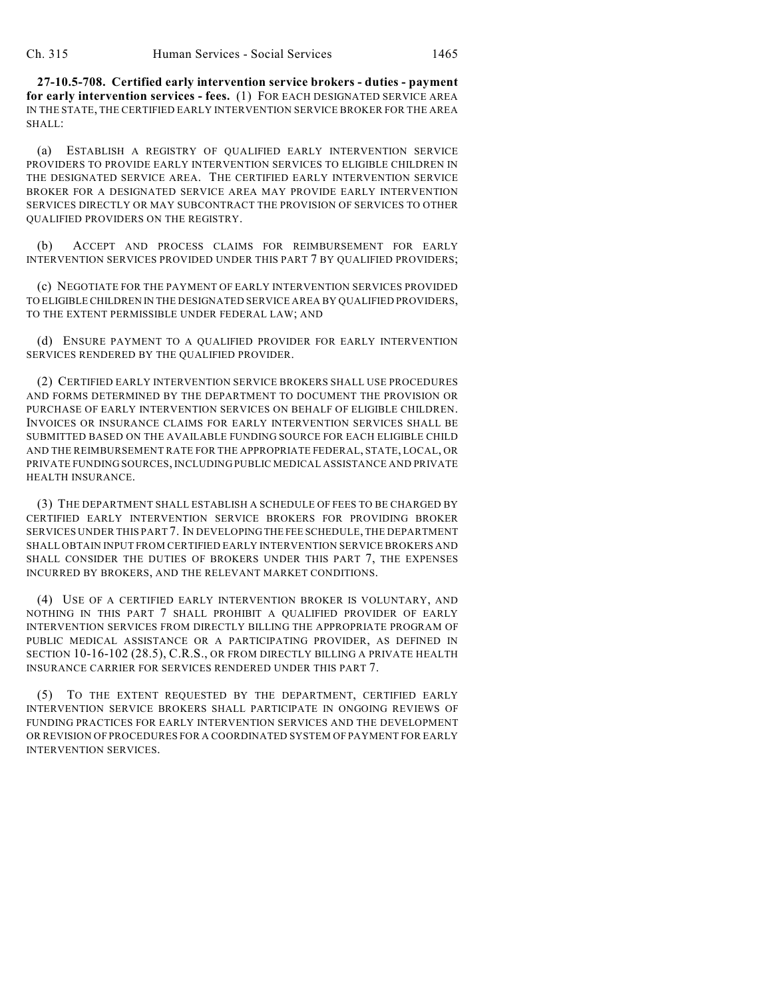**27-10.5-708. Certified early intervention service brokers - duties - payment for early intervention services - fees.** (1) FOR EACH DESIGNATED SERVICE AREA IN THE STATE, THE CERTIFIED EARLY INTERVENTION SERVICE BROKER FOR THE AREA SHALL:

(a) ESTABLISH A REGISTRY OF QUALIFIED EARLY INTERVENTION SERVICE PROVIDERS TO PROVIDE EARLY INTERVENTION SERVICES TO ELIGIBLE CHILDREN IN THE DESIGNATED SERVICE AREA. THE CERTIFIED EARLY INTERVENTION SERVICE BROKER FOR A DESIGNATED SERVICE AREA MAY PROVIDE EARLY INTERVENTION SERVICES DIRECTLY OR MAY SUBCONTRACT THE PROVISION OF SERVICES TO OTHER QUALIFIED PROVIDERS ON THE REGISTRY.

(b) ACCEPT AND PROCESS CLAIMS FOR REIMBURSEMENT FOR EARLY INTERVENTION SERVICES PROVIDED UNDER THIS PART 7 BY QUALIFIED PROVIDERS;

(c) NEGOTIATE FOR THE PAYMENT OF EARLY INTERVENTION SERVICES PROVIDED TO ELIGIBLE CHILDREN IN THE DESIGNATED SERVICE AREA BY QUALIFIED PROVIDERS, TO THE EXTENT PERMISSIBLE UNDER FEDERAL LAW; AND

(d) ENSURE PAYMENT TO A QUALIFIED PROVIDER FOR EARLY INTERVENTION SERVICES RENDERED BY THE QUALIFIED PROVIDER.

(2) CERTIFIED EARLY INTERVENTION SERVICE BROKERS SHALL USE PROCEDURES AND FORMS DETERMINED BY THE DEPARTMENT TO DOCUMENT THE PROVISION OR PURCHASE OF EARLY INTERVENTION SERVICES ON BEHALF OF ELIGIBLE CHILDREN. INVOICES OR INSURANCE CLAIMS FOR EARLY INTERVENTION SERVICES SHALL BE SUBMITTED BASED ON THE AVAILABLE FUNDING SOURCE FOR EACH ELIGIBLE CHILD AND THE REIMBURSEMENT RATE FOR THE APPROPRIATE FEDERAL, STATE, LOCAL, OR PRIVATE FUNDING SOURCES, INCLUDING PUBLIC MEDICAL ASSISTANCE AND PRIVATE HEALTH INSURANCE.

(3) THE DEPARTMENT SHALL ESTABLISH A SCHEDULE OF FEES TO BE CHARGED BY CERTIFIED EARLY INTERVENTION SERVICE BROKERS FOR PROVIDING BROKER SERVICES UNDER THIS PART 7. IN DEVELOPING THE FEE SCHEDULE, THE DEPARTMENT SHALL OBTAIN INPUT FROM CERTIFIED EARLY INTERVENTION SERVICE BROKERS AND SHALL CONSIDER THE DUTIES OF BROKERS UNDER THIS PART 7, THE EXPENSES INCURRED BY BROKERS, AND THE RELEVANT MARKET CONDITIONS.

(4) USE OF A CERTIFIED EARLY INTERVENTION BROKER IS VOLUNTARY, AND NOTHING IN THIS PART 7 SHALL PROHIBIT A QUALIFIED PROVIDER OF EARLY INTERVENTION SERVICES FROM DIRECTLY BILLING THE APPROPRIATE PROGRAM OF PUBLIC MEDICAL ASSISTANCE OR A PARTICIPATING PROVIDER, AS DEFINED IN SECTION 10-16-102 (28.5), C.R.S., OR FROM DIRECTLY BILLING A PRIVATE HEALTH INSURANCE CARRIER FOR SERVICES RENDERED UNDER THIS PART 7.

TO THE EXTENT REQUESTED BY THE DEPARTMENT, CERTIFIED EARLY INTERVENTION SERVICE BROKERS SHALL PARTICIPATE IN ONGOING REVIEWS OF FUNDING PRACTICES FOR EARLY INTERVENTION SERVICES AND THE DEVELOPMENT OR REVISION OF PROCEDURES FOR A COORDINATED SYSTEM OF PAYMENT FOR EARLY INTERVENTION SERVICES.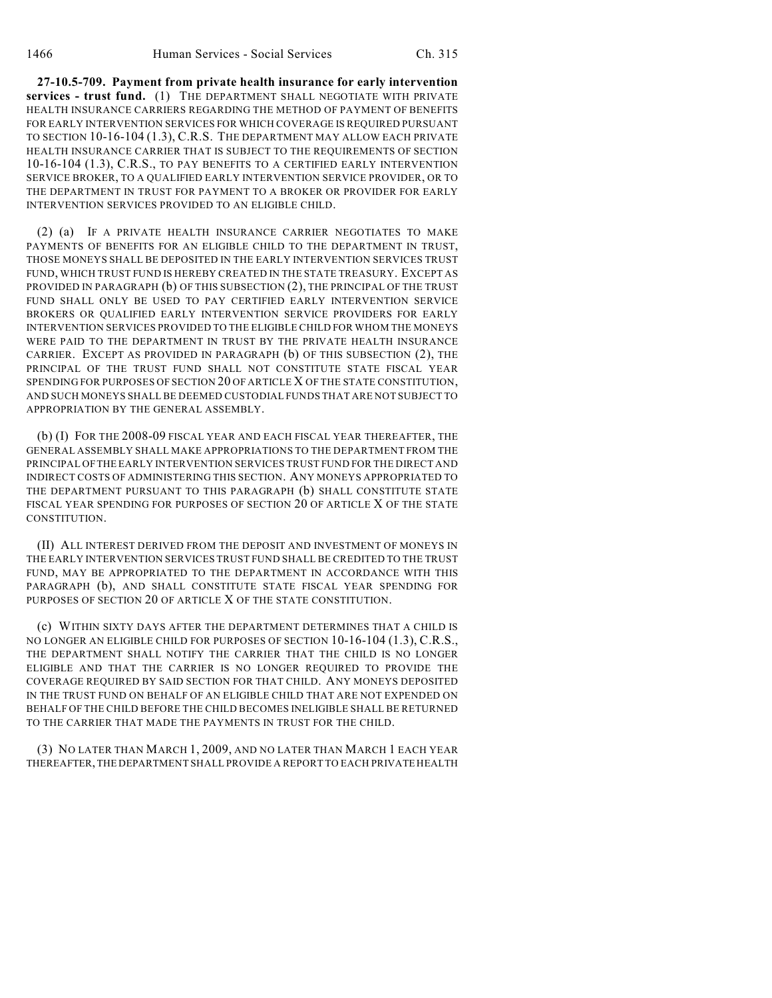**27-10.5-709. Payment from private health insurance for early intervention services - trust fund.** (1) THE DEPARTMENT SHALL NEGOTIATE WITH PRIVATE HEALTH INSURANCE CARRIERS REGARDING THE METHOD OF PAYMENT OF BENEFITS FOR EARLY INTERVENTION SERVICES FOR WHICH COVERAGE IS REQUIRED PURSUANT TO SECTION 10-16-104 (1.3), C.R.S. THE DEPARTMENT MAY ALLOW EACH PRIVATE HEALTH INSURANCE CARRIER THAT IS SUBJECT TO THE REQUIREMENTS OF SECTION 10-16-104 (1.3), C.R.S., TO PAY BENEFITS TO A CERTIFIED EARLY INTERVENTION SERVICE BROKER, TO A QUALIFIED EARLY INTERVENTION SERVICE PROVIDER, OR TO THE DEPARTMENT IN TRUST FOR PAYMENT TO A BROKER OR PROVIDER FOR EARLY INTERVENTION SERVICES PROVIDED TO AN ELIGIBLE CHILD.

(2) (a) IF A PRIVATE HEALTH INSURANCE CARRIER NEGOTIATES TO MAKE PAYMENTS OF BENEFITS FOR AN ELIGIBLE CHILD TO THE DEPARTMENT IN TRUST, THOSE MONEYS SHALL BE DEPOSITED IN THE EARLY INTERVENTION SERVICES TRUST FUND, WHICH TRUST FUND IS HEREBY CREATED IN THE STATE TREASURY. EXCEPT AS PROVIDED IN PARAGRAPH (b) OF THIS SUBSECTION (2), THE PRINCIPAL OF THE TRUST FUND SHALL ONLY BE USED TO PAY CERTIFIED EARLY INTERVENTION SERVICE BROKERS OR QUALIFIED EARLY INTERVENTION SERVICE PROVIDERS FOR EARLY INTERVENTION SERVICES PROVIDED TO THE ELIGIBLE CHILD FOR WHOM THE MONEYS WERE PAID TO THE DEPARTMENT IN TRUST BY THE PRIVATE HEALTH INSURANCE CARRIER. EXCEPT AS PROVIDED IN PARAGRAPH (b) OF THIS SUBSECTION (2), THE PRINCIPAL OF THE TRUST FUND SHALL NOT CONSTITUTE STATE FISCAL YEAR SPENDING FOR PURPOSES OF SECTION 20 OF ARTICLE X OF THE STATE CONSTITUTION, AND SUCH MONEYS SHALL BE DEEMED CUSTODIAL FUNDS THAT ARE NOT SUBJECT TO APPROPRIATION BY THE GENERAL ASSEMBLY.

(b) (I) FOR THE 2008-09 FISCAL YEAR AND EACH FISCAL YEAR THEREAFTER, THE GENERAL ASSEMBLY SHALL MAKE APPROPRIATIONS TO THE DEPARTMENT FROM THE PRINCIPAL OF THE EARLY INTERVENTION SERVICES TRUST FUND FOR THE DIRECT AND INDIRECT COSTS OF ADMINISTERING THIS SECTION. ANY MONEYS APPROPRIATED TO THE DEPARTMENT PURSUANT TO THIS PARAGRAPH (b) SHALL CONSTITUTE STATE FISCAL YEAR SPENDING FOR PURPOSES OF SECTION 20 OF ARTICLE X OF THE STATE CONSTITUTION.

(II) ALL INTEREST DERIVED FROM THE DEPOSIT AND INVESTMENT OF MONEYS IN THE EARLY INTERVENTION SERVICES TRUST FUND SHALL BE CREDITED TO THE TRUST FUND, MAY BE APPROPRIATED TO THE DEPARTMENT IN ACCORDANCE WITH THIS PARAGRAPH (b), AND SHALL CONSTITUTE STATE FISCAL YEAR SPENDING FOR PURPOSES OF SECTION 20 OF ARTICLE X OF THE STATE CONSTITUTION.

(c) WITHIN SIXTY DAYS AFTER THE DEPARTMENT DETERMINES THAT A CHILD IS NO LONGER AN ELIGIBLE CHILD FOR PURPOSES OF SECTION 10-16-104 (1.3), C.R.S., THE DEPARTMENT SHALL NOTIFY THE CARRIER THAT THE CHILD IS NO LONGER ELIGIBLE AND THAT THE CARRIER IS NO LONGER REQUIRED TO PROVIDE THE COVERAGE REQUIRED BY SAID SECTION FOR THAT CHILD. ANY MONEYS DEPOSITED IN THE TRUST FUND ON BEHALF OF AN ELIGIBLE CHILD THAT ARE NOT EXPENDED ON BEHALF OF THE CHILD BEFORE THE CHILD BECOMES INELIGIBLE SHALL BE RETURNED TO THE CARRIER THAT MADE THE PAYMENTS IN TRUST FOR THE CHILD.

(3) NO LATER THAN MARCH 1, 2009, AND NO LATER THAN MARCH 1 EACH YEAR THEREAFTER, THE DEPARTMENT SHALL PROVIDE A REPORT TO EACH PRIVATE HEALTH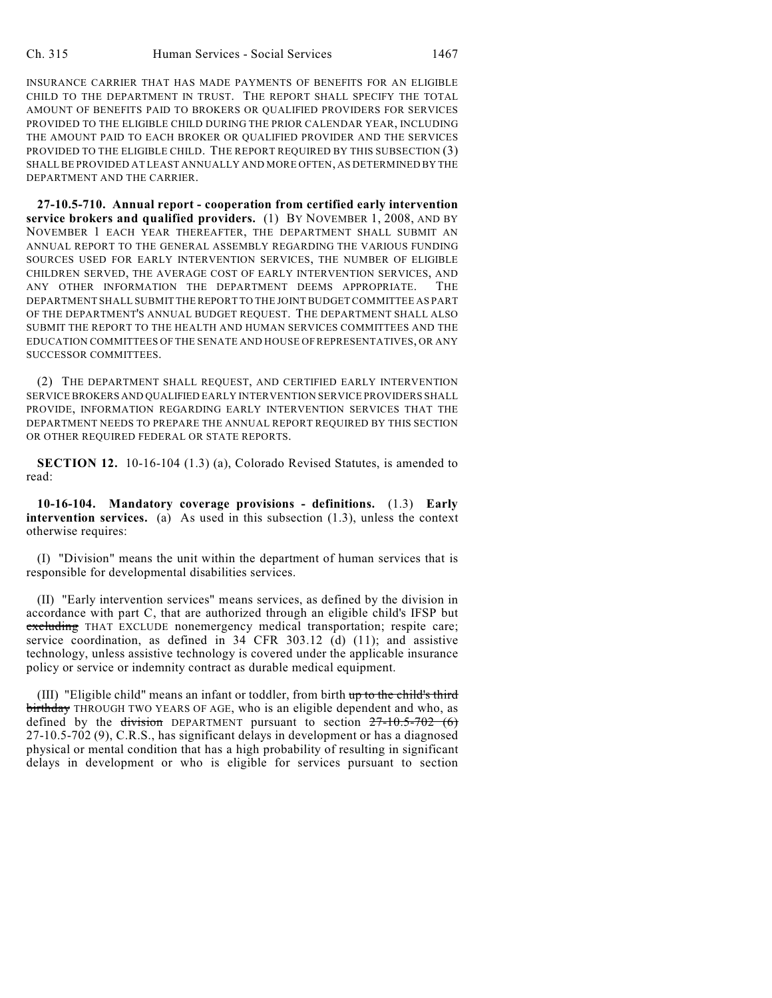INSURANCE CARRIER THAT HAS MADE PAYMENTS OF BENEFITS FOR AN ELIGIBLE CHILD TO THE DEPARTMENT IN TRUST. THE REPORT SHALL SPECIFY THE TOTAL AMOUNT OF BENEFITS PAID TO BROKERS OR QUALIFIED PROVIDERS FOR SERVICES PROVIDED TO THE ELIGIBLE CHILD DURING THE PRIOR CALENDAR YEAR, INCLUDING THE AMOUNT PAID TO EACH BROKER OR QUALIFIED PROVIDER AND THE SERVICES PROVIDED TO THE ELIGIBLE CHILD. THE REPORT REQUIRED BY THIS SUBSECTION (3) SHALL BE PROVIDED AT LEAST ANNUALLY AND MORE OFTEN, AS DETERMINED BY THE DEPARTMENT AND THE CARRIER.

**27-10.5-710. Annual report - cooperation from certified early intervention service brokers and qualified providers.** (1) BY NOVEMBER 1, 2008, AND BY NOVEMBER 1 EACH YEAR THEREAFTER, THE DEPARTMENT SHALL SUBMIT AN ANNUAL REPORT TO THE GENERAL ASSEMBLY REGARDING THE VARIOUS FUNDING SOURCES USED FOR EARLY INTERVENTION SERVICES, THE NUMBER OF ELIGIBLE CHILDREN SERVED, THE AVERAGE COST OF EARLY INTERVENTION SERVICES, AND ANY OTHER INFORMATION THE DEPARTMENT DEEMS APPROPRIATE. THE DEPARTMENT SHALL SUBMIT THE REPORT TO THE JOINT BUDGET COMMITTEE AS PART OF THE DEPARTMENT'S ANNUAL BUDGET REQUEST. THE DEPARTMENT SHALL ALSO SUBMIT THE REPORT TO THE HEALTH AND HUMAN SERVICES COMMITTEES AND THE EDUCATION COMMITTEES OF THE SENATE AND HOUSE OF REPRESENTATIVES, OR ANY SUCCESSOR COMMITTEES.

(2) THE DEPARTMENT SHALL REQUEST, AND CERTIFIED EARLY INTERVENTION SERVICE BROKERS AND QUALIFIED EARLY INTERVENTION SERVICE PROVIDERS SHALL PROVIDE, INFORMATION REGARDING EARLY INTERVENTION SERVICES THAT THE DEPARTMENT NEEDS TO PREPARE THE ANNUAL REPORT REQUIRED BY THIS SECTION OR OTHER REQUIRED FEDERAL OR STATE REPORTS.

**SECTION 12.** 10-16-104 (1.3) (a), Colorado Revised Statutes, is amended to read:

**10-16-104. Mandatory coverage provisions - definitions.** (1.3) **Early intervention services.** (a) As used in this subsection (1.3), unless the context otherwise requires:

(I) "Division" means the unit within the department of human services that is responsible for developmental disabilities services.

(II) "Early intervention services" means services, as defined by the division in accordance with part C, that are authorized through an eligible child's IFSP but excluding THAT EXCLUDE nonemergency medical transportation; respite care; service coordination, as defined in 34 CFR 303.12 (d) (11); and assistive technology, unless assistive technology is covered under the applicable insurance policy or service or indemnity contract as durable medical equipment.

(III) "Eligible child" means an infant or toddler, from birth up to the child's third birthday THROUGH TWO YEARS OF AGE, who is an eligible dependent and who, as defined by the division DEPARTMENT pursuant to section  $27-10.5-702$  (6) 27-10.5-702 (9), C.R.S., has significant delays in development or has a diagnosed physical or mental condition that has a high probability of resulting in significant delays in development or who is eligible for services pursuant to section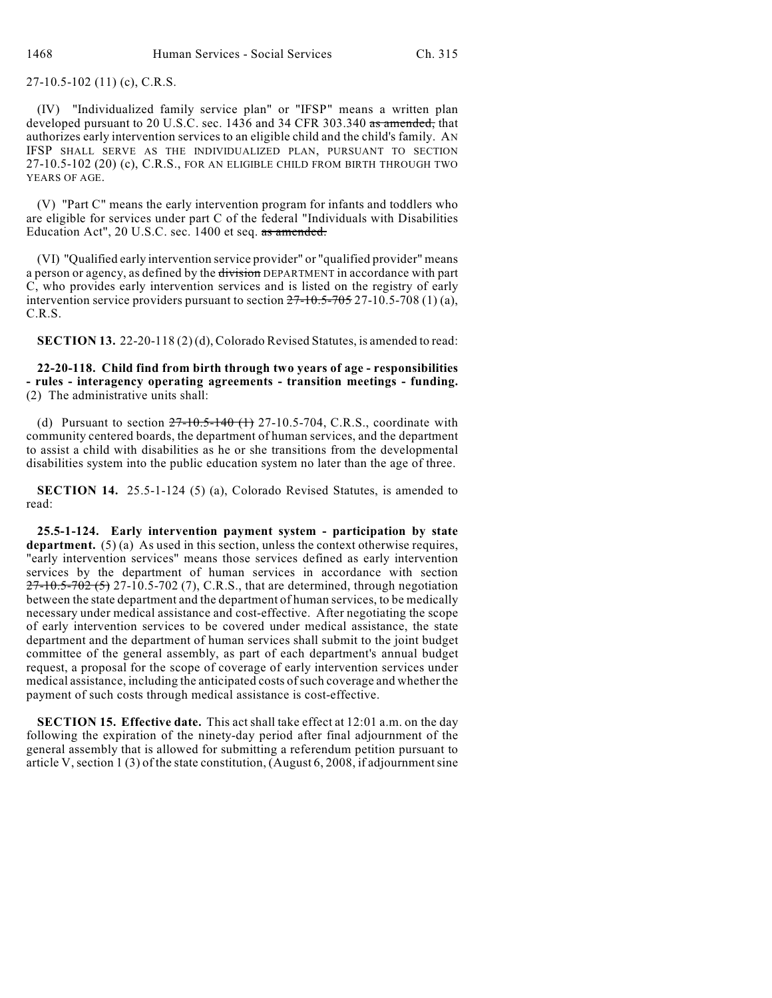27-10.5-102 (11) (c), C.R.S.

(IV) "Individualized family service plan" or "IFSP" means a written plan developed pursuant to 20 U.S.C. sec. 1436 and 34 CFR 303.340 as amended, that authorizes early intervention services to an eligible child and the child's family. AN IFSP SHALL SERVE AS THE INDIVIDUALIZED PLAN, PURSUANT TO SECTION 27-10.5-102 (20) (c), C.R.S., FOR AN ELIGIBLE CHILD FROM BIRTH THROUGH TWO YEARS OF AGE.

(V) "Part C" means the early intervention program for infants and toddlers who are eligible for services under part C of the federal "Individuals with Disabilities Education Act", 20 U.S.C. sec. 1400 et seq. as amended.

(VI) "Qualified early intervention service provider" or "qualified provider" means a person or agency, as defined by the division DEPARTMENT in accordance with part C, who provides early intervention services and is listed on the registry of early intervention service providers pursuant to section  $27-10.5-705$   $27-10.5-708$  (1) (a), C.R.S.

**SECTION 13.** 22-20-118 (2) (d), Colorado Revised Statutes, is amended to read:

**22-20-118. Child find from birth through two years of age - responsibilities - rules - interagency operating agreements - transition meetings - funding.** (2) The administrative units shall:

(d) Pursuant to section  $27-10.5-140$  (1) 27-10.5-704, C.R.S., coordinate with community centered boards, the department of human services, and the department to assist a child with disabilities as he or she transitions from the developmental disabilities system into the public education system no later than the age of three.

**SECTION 14.** 25.5-1-124 (5) (a), Colorado Revised Statutes, is amended to read:

**25.5-1-124. Early intervention payment system - participation by state department.** (5) (a) As used in this section, unless the context otherwise requires, "early intervention services" means those services defined as early intervention services by the department of human services in accordance with section  $27-10.5-702(5)$  27-10.5-702 (7), C.R.S., that are determined, through negotiation between the state department and the department of human services, to be medically necessary under medical assistance and cost-effective. After negotiating the scope of early intervention services to be covered under medical assistance, the state department and the department of human services shall submit to the joint budget committee of the general assembly, as part of each department's annual budget request, a proposal for the scope of coverage of early intervention services under medical assistance, including the anticipated costs of such coverage and whether the payment of such costs through medical assistance is cost-effective.

**SECTION 15. Effective date.** This act shall take effect at 12:01 a.m. on the day following the expiration of the ninety-day period after final adjournment of the general assembly that is allowed for submitting a referendum petition pursuant to article V, section 1 (3) of the state constitution, (August 6, 2008, if adjournment sine